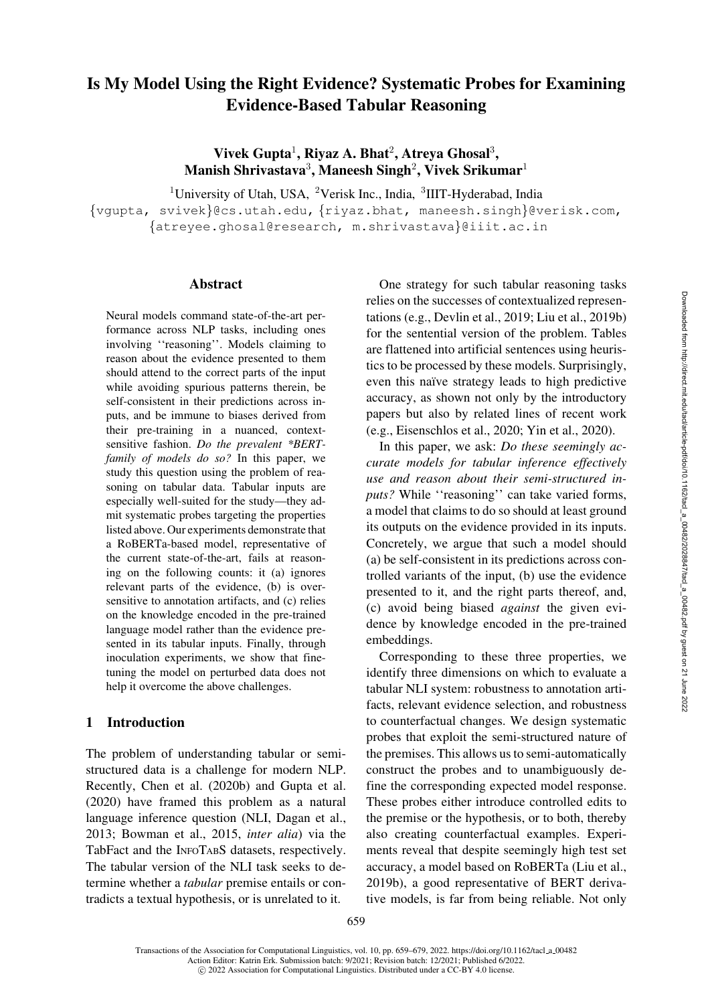# Is My Model Using the Right Evidence? Systematic Probes for Examining Evidence-Based Tabular Reasoning

Vivek Gupta<sup>1</sup>, Riyaz A. Bhat<sup>2</sup>, Atreya Ghosal<sup>3</sup>, Manish Shrivastava<sup>3</sup>, Maneesh Singh<sup>2</sup>, Vivek Srikumar<sup>1</sup>

 $1$ University of Utah, USA,  $2$ Verisk Inc., India,  $3$ IIIT-Hyderabad, India

{[vgupta,](mailto:vgupta@cs.utah.edu) [svivek](mailto:svivek@cs.utah.edu)}@cs.utah.edu, {[riyaz.bhat,](mailto:riyaz.bhat@verisk.com) [maneesh.singh](mailto:maneesh.singh@verisk.com)}@verisk.com, {[atreyee.ghosal@research,](mailto:atreyee.ghosal@research.iiit.ac.in) [m.shrivastava](mailto:m.shrivastava@iiit.ac.in)}@iiit.ac.in

#### Abstract

Neural models command state-of-the-art performance across NLP tasks, including ones involving ''reasoning''. Models claiming to reason about the evidence presented to them should attend to the correct parts of the input while avoiding spurious patterns therein, be self-consistent in their predictions across inputs, and be immune to biases derived from their pre-training in a nuanced, contextsensitive fashion. *Do the prevalent \*BERTfamily of models do so?* In this paper, we study this question using the problem of reasoning on tabular data. Tabular inputs are especially well-suited for the study—they admit systematic probes targeting the properties listed above. Our experiments demonstrate that a RoBERTa-based model, representative of the current state-of-the-art, fails at reasoning on the following counts: it (a) ignores relevant parts of the evidence, (b) is oversensitive to annotation artifacts, and (c) relies on the knowledge encoded in the pre-trained language model rather than the evidence presented in its tabular inputs. Finally, through inoculation experiments, we show that finetuning the model on perturbed data does not help it overcome the above challenges.

#### 1 Introduction

The problem of understanding tabular or semistructured data is a challenge for modern NLP. Recently, [Chen et al.](#page-13-0) [\(2020b](#page-13-0)) and [Gupta et al.](#page-14-0) [\(2020\)](#page-14-0) have framed this problem as a natural language inference question (NLI, [Dagan et al.,](#page-13-1) [2013](#page-13-1); [Bowman et al.](#page-12-0), [2015,](#page-12-0) *inter alia*) via the TabFact and the INFOTABS datasets, respectively. The tabular version of the NLI task seeks to determine whether a *tabular* premise entails or contradicts a textual hypothesis, or is unrelated to it.

One strategy for such tabular reasoning tasks relies on the successes of contextualized representations (e.g., [Devlin et al.](#page-13-2), [2019;](#page-13-2) [Liu et al.](#page-15-0), [2019b\)](#page-15-0) for the sentential version of the problem. Tables are flattened into artificial sentences using heuristics to be processed by these models. Surprisingly, even this naïve strategy leads to high predictive accuracy, as shown not only by the introductory papers but also by related lines of recent work (e.g., [Eisenschlos et al.](#page-13-3), [2020;](#page-13-3) [Yin et al.](#page-17-0), [2020\)](#page-17-0).

In this paper, we ask: *Do these seemingly accurate models for tabular inference effectively use and reason about their semi-structured in*puts? While "reasoning" can take varied forms, a model that claims to do so should at least ground its outputs on the evidence provided in its inputs. Concretely, we argue that such a model should (a) be self-consistent in its predictions across controlled variants of the input, (b) use the evidence presented to it, and the right parts thereof, and, (c) avoid being biased *against* the given evidence by knowledge encoded in the pre-trained embeddings.

Corresponding to these three properties, we identify three dimensions on which to evaluate a tabular NLI system: robustness to annotation artifacts, relevant evidence selection, and robustness to counterfactual changes. We design systematic probes that exploit the semi-structured nature of the premises. This allows us to semi-automatically construct the probes and to unambiguously define the corresponding expected model response. These probes either introduce controlled edits to the premise or the hypothesis, or to both, thereby also creating counterfactual examples. Experiments reveal that despite seemingly high test set accuracy, a model based on RoBERTa [\(Liu et al.,](#page-15-0) [2019b\)](#page-15-0), a good representative of BERT derivative models, is far from being reliable. Not only

Transactions of the Association for Computational Linguistics, vol. 10, pp. 659–679, 2022. [https://doi.org/10.1162/tacl](https://doi.org/10.1162/tacl_a_00482) a 00482 Action Editor: Katrin Erk. Submission batch: 9/2021; Revision batch: 12/2021; Published 6/2022.  $\circ$  2022 Association for Computational Linguistics. Distributed under a CC-BY 4.0 license.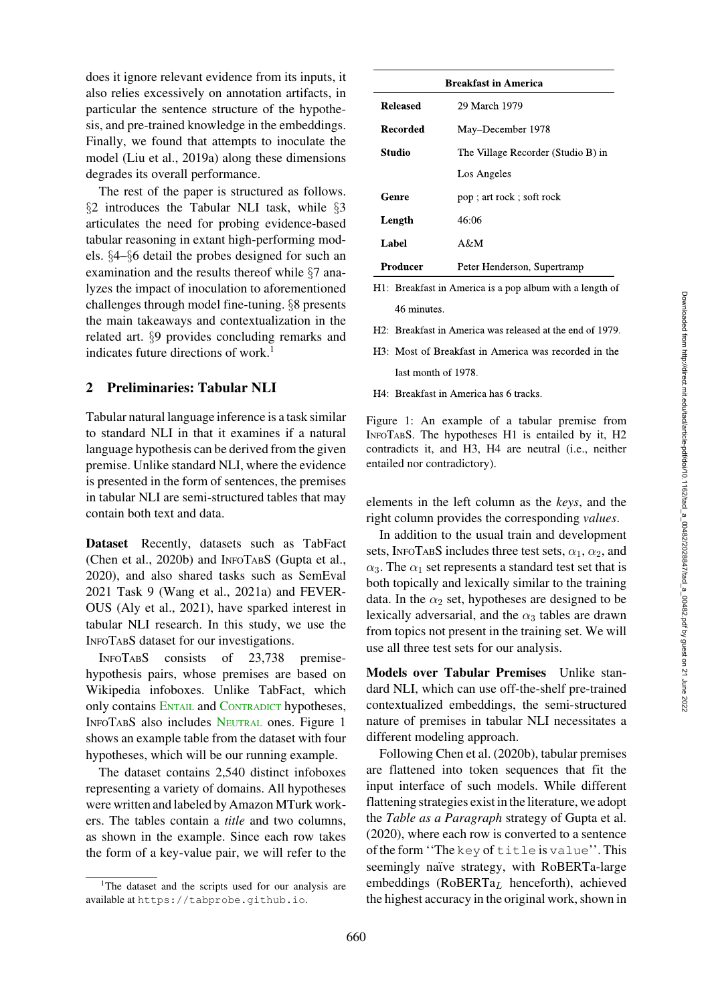does it ignore relevant evidence from its inputs, it also relies excessively on annotation artifacts, in particular the sentence structure of the hypothesis, and pre-trained knowledge in the embeddings. Finally, we found that attempts to inoculate the model [\(Liu et al., 2019a\)](#page-15-1) along these dimensions degrades its overall performance.

The rest of the paper is structured as follows. §[2](#page-1-0) introduces the Tabular NLI task, while §[3](#page-2-0) articulates the need for probing evidence-based tabular reasoning in extant high-performing models. §[4–](#page-3-0)§[6](#page-7-0) detail the probes designed for such an examination and the results thereof while §[7](#page-10-0) analyzes the impact of inoculation to aforementioned challenges through model fine-tuning. §[8](#page-11-0) presents the main takeaways and contextualization in the related art. §[9](#page-12-1) provides concluding remarks and indicates future directions of work.<sup>1</sup>

# <span id="page-1-0"></span>2 Preliminaries: Tabular NLI

Tabular natural language inference is a task similar to standard NLI in that it examines if a natural language hypothesis can be derived from the given premise. Unlike standard NLI, where the evidence is presented in the form of sentences, the premises in tabular NLI are semi-structured tables that may contain both text and data.

Dataset Recently, datasets such as TabFact [\(Chen et al., 2020b\)](#page-13-0) and INFOTABS [\(Gupta et al.,](#page-14-0) [2020](#page-14-0)), and also shared tasks such as SemEval 2021 Task 9 [\(Wang et al.](#page-17-1), [2021a\)](#page-17-1) and FEVER-OUS [\(Aly et al.](#page-12-2), [2021\)](#page-12-2), have sparked interest in tabular NLI research. In this study, we use the INFOTABS dataset for our investigations.

INFOTABS consists of 23,738 premisehypothesis pairs, whose premises are based on Wikipedia infoboxes. Unlike TabFact, which only contains ENTAIL and CONTRADICT hypotheses, INFOTABS also includes NEUTRAL ones. Figure [1](#page-1-2) shows an example table from the dataset with four hypotheses, which will be our running example.

The dataset contains 2,540 distinct infoboxes representing a variety of domains. All hypotheses were written and labeled by Amazon MTurk workers. The tables contain a *title* and two columns, as shown in the example. Since each row takes the form of a key-value pair, we will refer to the

| <b>Breakfast in America</b> |                                    |  |  |
|-----------------------------|------------------------------------|--|--|
| <b>Released</b>             | 29 March 1979                      |  |  |
| Recorded                    | May-December 1978                  |  |  |
| Studio                      | The Village Recorder (Studio B) in |  |  |
|                             | Los Angeles                        |  |  |
| Genre                       | pop; art rock; soft rock           |  |  |
| Length                      | 46:06                              |  |  |
| Label                       | A&M                                |  |  |
| Producer                    | Peter Henderson, Supertramp        |  |  |

- H1: Breakfast in America is a pop album with a length of 46 minutes.
- H2: Breakfast in America was released at the end of 1979.
- H3: Most of Breakfast in America was recorded in the last month of 1978.
- H4: Breakfast in America has 6 tracks.

<span id="page-1-2"></span>Figure 1: An example of a tabular premise from INFOTABS. The hypotheses H1 is entailed by it, H2 contradicts it, and H3, H4 are neutral (i.e., neither entailed nor contradictory).

elements in the left column as the *keys*, and the right column provides the corresponding *values*.

In addition to the usual train and development sets, INFOTABS includes three test sets,  $\alpha_1$ ,  $\alpha_2$ , and  $\alpha_3$ . The  $\alpha_1$  set represents a standard test set that is both topically and lexically similar to the training data. In the  $\alpha_2$  set, hypotheses are designed to be lexically adversarial, and the  $\alpha_3$  tables are drawn from topics not present in the training set. We will use all three test sets for our analysis.

Models over Tabular Premises Unlike standard NLI, which can use off-the-shelf pre-trained contextualized embeddings, the semi-structured nature of premises in tabular NLI necessitates a different modeling approach.

Following [Chen et al.](#page-13-0) [\(2020b](#page-13-0)), tabular premises are flattened into token sequences that fit the input interface of such models. While different flattening strategies exist in the literature, we adopt the *Table as a Paragraph* strategy of [Gupta et al.](#page-14-0) [\(2020\)](#page-14-0), where each row is converted to a sentence of the form ''The key of title is value''. This seemingly naïve strategy, with RoBERTa-large embeddings ( $RoBERTa<sub>L</sub>$  henceforth), achieved the highest accuracy in the original work, shown in

<span id="page-1-1"></span><sup>&</sup>lt;sup>1</sup>The dataset and the scripts used for our analysis are available at <https://tabprobe.github.io>.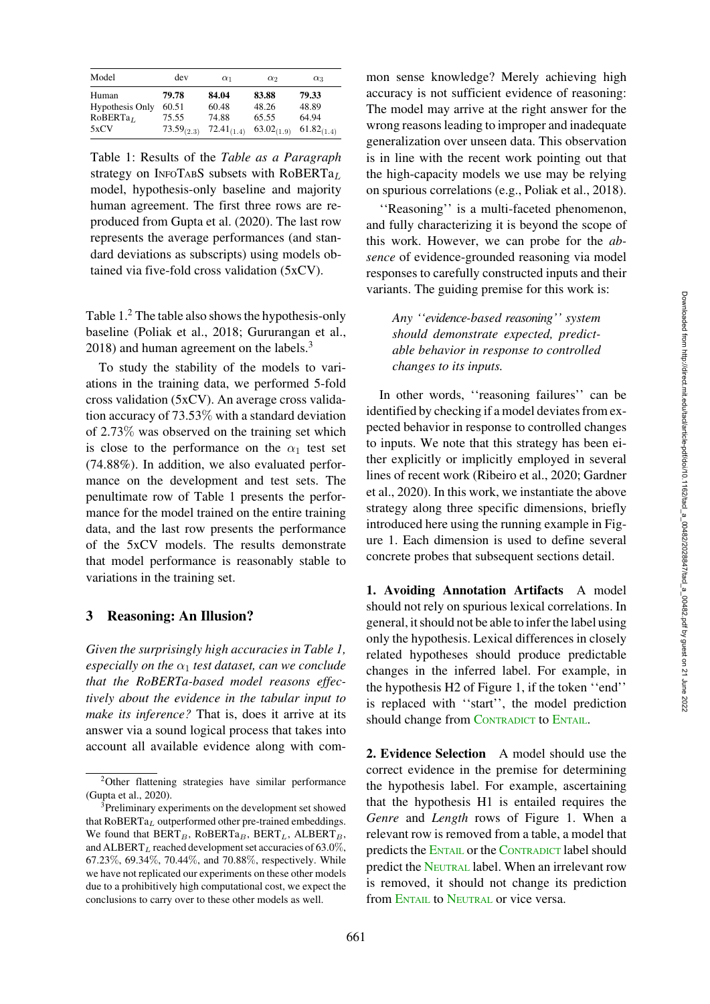| Model                | dev           | $\alpha_1$      | $\alpha_2$      | $\alpha_3$      |
|----------------------|---------------|-----------------|-----------------|-----------------|
| Human                | 79.78         | 84.04           | 83.88           | 79.33           |
| Hypothesis Only      | 60.51         | 60.48           | 48.26           | 48.89           |
| RoBERTa <sub>L</sub> | 75.55         | 74.88           | 65.55           | 64.94           |
| 5xCV                 | 73.59 $(2.3)$ | $72.41_{(1.4)}$ | $63.02_{(1.9)}$ | $61.82_{(1.4)}$ |

<span id="page-2-1"></span>Table 1: Results of the *Table as a Paragraph* strategy on INFOTABS subsets with RoBERTa<sub>L</sub> model, hypothesis-only baseline and majority human agreement. The first three rows are reproduced from [Gupta et al.](#page-14-0) [\(2020\)](#page-14-0). The last row represents the average performances (and standard deviations as subscripts) using models obtained via five-fold cross validation (5xCV).

Table  $1<sup>2</sup>$  $1<sup>2</sup>$  $1<sup>2</sup>$ . The table also shows the hypothesis-only baseline [\(Poliak et al.](#page-16-0), [2018](#page-16-0); [Gururangan et al.,](#page-14-1) [2018](#page-14-1)) and human agreement on the labels.<sup>3</sup>

To study the stability of the models to variations in the training data, we performed 5-fold cross validation (5xCV). An average cross validation accuracy of 73.53% with a standard deviation of 2.73% was observed on the training set which is close to the performance on the  $\alpha_1$  test set (74.88%). In addition, we also evaluated performance on the development and test sets. The penultimate row of Table [1](#page-2-1) presents the performance for the model trained on the entire training data, and the last row presents the performance of the 5xCV models. The results demonstrate that model performance is reasonably stable to variations in the training set.

#### <span id="page-2-0"></span>3 Reasoning: An Illusion?

*Given the surprisingly high accuracies in Table [1,](#page-2-1) especially on the*  $\alpha_1$  *test dataset, can we conclude that the RoBERTa-based model reasons effectively about the evidence in the tabular input to make its inference?* That is, does it arrive at its answer via a sound logical process that takes into account all available evidence along with common sense knowledge? Merely achieving high accuracy is not sufficient evidence of reasoning: The model may arrive at the right answer for the wrong reasons leading to improper and inadequate generalization over unseen data. This observation is in line with the recent work pointing out that the high-capacity models we use may be relying on spurious correlations (e.g., [Poliak et al., 2018](#page-16-0)).

''Reasoning'' is a multi-faceted phenomenon, and fully characterizing it is beyond the scope of this work. However, we can probe for the *absence* of evidence-grounded reasoning via model responses to carefully constructed inputs and their variants. The guiding premise for this work is:

*Any ''evidence-based reasoning'' system should demonstrate expected, predictable behavior in response to controlled changes to its inputs.*

In other words, ''reasoning failures'' can be identified by checking if a model deviates from expected behavior in response to controlled changes to inputs. We note that this strategy has been either explicitly or implicitly employed in several lines of recent work [\(Ribeiro et al., 2020;](#page-17-2) [Gardner](#page-13-4) [et al.,](#page-13-4) [2020](#page-13-5)). In this work, we instantiate the above strategy along three specific dimensions, briefly introduced here using the running example in Figure [1.](#page-1-2) Each dimension is used to define several concrete probes that subsequent sections detail.

1. Avoiding Annotation Artifacts A model should not rely on spurious lexical correlations. In general, it should not be able to infer the label using only the hypothesis. Lexical differences in closely related hypotheses should produce predictable changes in the inferred label. For example, in the hypothesis H2 of Figure [1,](#page-1-2) if the token ''end'' is replaced with ''start'', the model prediction should change from CONTRADICT to ENTAIL.

2. Evidence Selection A model should use the correct evidence in the premise for determining the hypothesis label. For example, ascertaining that the hypothesis H1 is entailed requires the *Genre* and *Length* rows of Figure [1.](#page-1-2) When a relevant row is removed from a table, a model that predicts the ENTAIL or the CONTRADICT label should predict the NEUTRAL label. When an irrelevant row is removed, it should not change its prediction from ENTAIL to NEUTRAL or vice versa.

<span id="page-2-2"></span><sup>2</sup>Other flattening strategies have similar performance [\(Gupta et al., 2020](#page-14-0)).

<span id="page-2-3"></span><sup>&</sup>lt;sup>3</sup>Preliminary experiments on the development set showed that  $\text{RoBERTa}_L$  outperformed other pre-trained embeddings. We found that  $BERT_B$ , RoBERTa<sub>B</sub>, BERT<sub>L</sub>, ALBERT<sub>B</sub>, and ALBERT<sub>L</sub> reached development set accuracies of 63.0%, 67.23%, 69.34%, 70.44%, and 70.88%, respectively. While we have not replicated our experiments on these other models due to a prohibitively high computational cost, we expect the conclusions to carry over to these other models as well.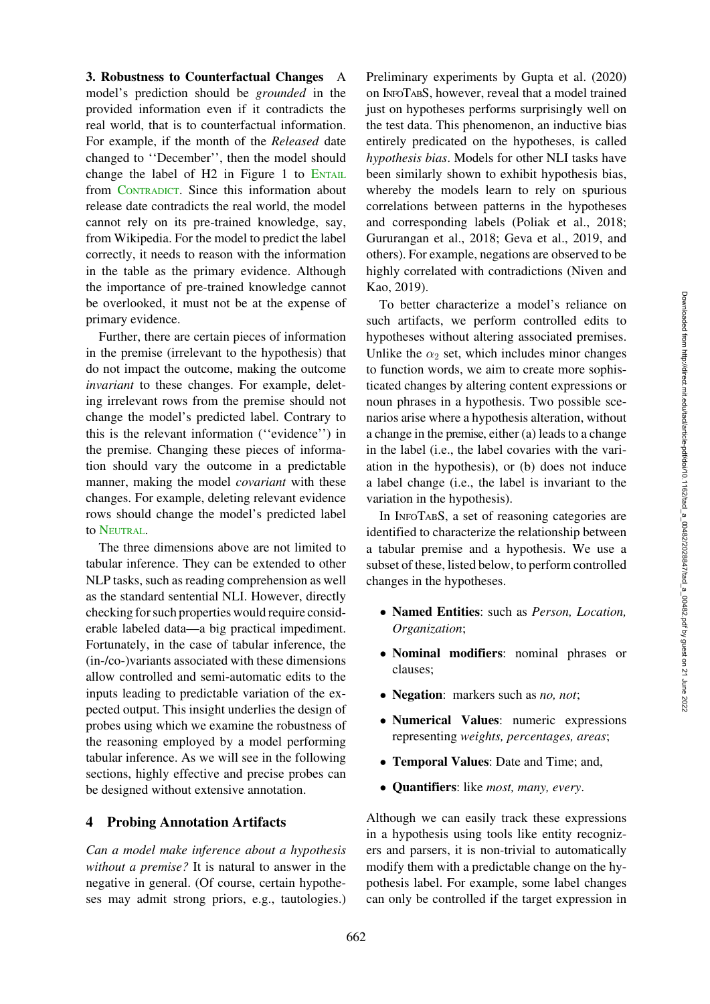3. Robustness to Counterfactual Changes A model's prediction should be *grounded* in the provided information even if it contradicts the real world, that is to counterfactual information. For example, if the month of the *Released* date changed to ''December'', then the model should change the label of  $H2$  in Figure [1](#page-1-2) to  $ENTAIL$ from CONTRADICT. Since this information about release date contradicts the real world, the model cannot rely on its pre-trained knowledge, say, from Wikipedia. For the model to predict the label correctly, it needs to reason with the information in the table as the primary evidence. Although the importance of pre-trained knowledge cannot be overlooked, it must not be at the expense of primary evidence.

Further, there are certain pieces of information in the premise (irrelevant to the hypothesis) that do not impact the outcome, making the outcome *invariant* to these changes. For example, deleting irrelevant rows from the premise should not change the model's predicted label. Contrary to this is the relevant information (''evidence'') in the premise. Changing these pieces of information should vary the outcome in a predictable manner, making the model *covariant* with these changes. For example, deleting relevant evidence rows should change the model's predicted label to NEUTRAL.

The three dimensions above are not limited to tabular inference. They can be extended to other NLP tasks, such as reading comprehension as well as the standard sentential NLI. However, directly checking for such properties would require considerable labeled data—a big practical impediment. Fortunately, in the case of tabular inference, the (in-/co-)variants associated with these dimensions allow controlled and semi-automatic edits to the inputs leading to predictable variation of the expected output. This insight underlies the design of probes using which we examine the robustness of the reasoning employed by a model performing tabular inference. As we will see in the following sections, highly effective and precise probes can be designed without extensive annotation.

## <span id="page-3-0"></span>4 Probing Annotation Artifacts

*Can a model make inference about a hypothesis without a premise?* It is natural to answer in the negative in general. (Of course, certain hypotheses may admit strong priors, e.g., tautologies.)

Preliminary experiments by [Gupta et al.](#page-14-0) [\(2020\)](#page-14-0) on INFOTABS, however, reveal that a model trained just on hypotheses performs surprisingly well on the test data. This phenomenon, an inductive bias entirely predicated on the hypotheses, is called *hypothesis bias*. Models for other NLI tasks have been similarly shown to exhibit hypothesis bias, whereby the models learn to rely on spurious correlations between patterns in the hypotheses and corresponding labels [\(Poliak et al., 2018](#page-16-0); [Gururangan et al., 2018;](#page-14-1) [Geva et al., 2019,](#page-13-6) and others). For example, negations are observed to be highly correlated with contradictions [\(Niven and](#page-16-1) [Kao,](#page-16-1) [2019](#page-16-2)).

To better characterize a model's reliance on such artifacts, we perform controlled edits to hypotheses without altering associated premises. Unlike the  $\alpha_2$  set, which includes minor changes to function words, we aim to create more sophisticated changes by altering content expressions or noun phrases in a hypothesis. Two possible scenarios arise where a hypothesis alteration, without a change in the premise, either (a) leads to a change in the label (i.e., the label covaries with the variation in the hypothesis), or (b) does not induce a label change (i.e., the label is invariant to the variation in the hypothesis).

In INFOTABS, a set of reasoning categories are identified to characterize the relationship between a tabular premise and a hypothesis. We use a subset of these, listed below, to perform controlled changes in the hypotheses.

- Named Entities: such as *Person, Location, Organization*;
- Nominal modifiers: nominal phrases or clauses;
- Negation: markers such as *no, not*;
- Numerical Values: numeric expressions representing *weights, percentages, areas*;
- Temporal Values: Date and Time; and,
- Quantifiers: like *most, many, every*.

Although we can easily track these expressions in a hypothesis using tools like entity recognizers and parsers, it is non-trivial to automatically modify them with a predictable change on the hypothesis label. For example, some label changes can only be controlled if the target expression in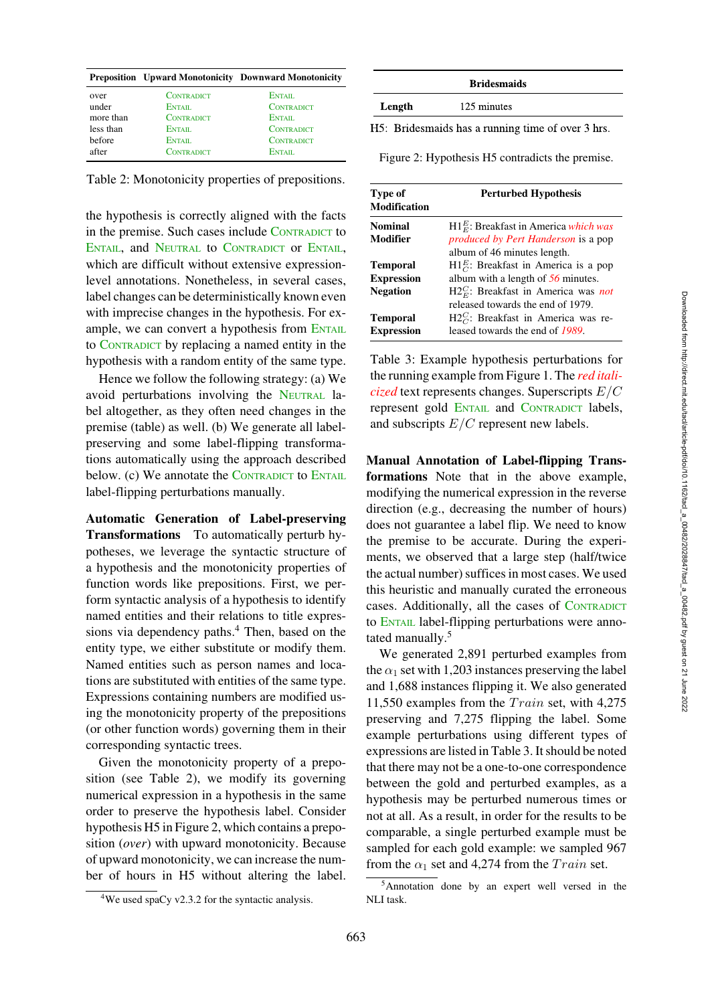|           |                   | <b>Preposition</b> Upward Monotonicity Downward Monotonicity |
|-----------|-------------------|--------------------------------------------------------------|
| over      | <b>CONTRADICT</b> | ENTAIL                                                       |
| under     | ENTAIL.           | <b>CONTRADICT</b>                                            |
| more than | <b>CONTRADICT</b> | ENTAIL.                                                      |
| less than | ENTAIL            | <b>CONTRADICT</b>                                            |
| before    | ENTAIL.           | <b>CONTRADICT</b>                                            |
| after     | CONTRADICT        | ENTAIL                                                       |

<span id="page-4-1"></span>Table 2: Monotonicity properties of prepositions.

the hypothesis is correctly aligned with the facts in the premise. Such cases include CONTRADICT to ENTAIL, and NEUTRAL to CONTRADICT OF ENTAIL, which are difficult without extensive expressionlevel annotations. Nonetheless, in several cases, label changes can be deterministically known even with imprecise changes in the hypothesis. For example, we can convert a hypothesis from ENTAIL to CONTRADICT by replacing a named entity in the hypothesis with a random entity of the same type.

Hence we follow the following strategy: (a) We avoid perturbations involving the NEUTRAL label altogether, as they often need changes in the premise (table) as well. (b) We generate all labelpreserving and some label-flipping transformations automatically using the approach described below. (c) We annotate the CONTRADICT to ENTAIL label-flipping perturbations manually.

Automatic Generation of Label-preserving Transformations To automatically perturb hypotheses, we leverage the syntactic structure of a hypothesis and the monotonicity properties of function words like prepositions. First, we perform syntactic analysis of a hypothesis to identify named entities and their relations to title expressions via dependency paths.<sup>4</sup> Then, based on the entity type, we either substitute or modify them. Named entities such as person names and locations are substituted with entities of the same type. Expressions containing numbers are modified using the monotonicity property of the prepositions (or other function words) governing them in their corresponding syntactic trees.

Given the monotonicity property of a preposition (see Table [2\)](#page-4-1), we modify its governing numerical expression in a hypothesis in the same order to preserve the hypothesis label. Consider hypothesis H5 in Figure [2,](#page-4-2) which contains a preposition (*over*) with upward monotonicity. Because of upward monotonicity, we can increase the number of hours in H5 without altering the label.

<span id="page-4-0"></span>4We used [spaCy v2.3.2](https://spacy.io/) for the syntactic analysis.

| <b>Bridesmaids</b> |  |             |  |  |  |
|--------------------|--|-------------|--|--|--|
| Length             |  | 125 minutes |  |  |  |
| .                  |  |             |  |  |  |

H5: Bridesmaids has a running time of over 3 hrs.

<span id="page-4-2"></span>Figure 2: Hypothesis H5 contradicts the premise.

| Type of<br><b>Modification</b> | <b>Perturbed Hypothesis</b>                                                |  |  |
|--------------------------------|----------------------------------------------------------------------------|--|--|
| <b>Nominal</b>                 | $H1EE$ : Breakfast in America which was                                    |  |  |
| Modifier                       | produced by Pert Handerson is a pop<br>album of 46 minutes length.         |  |  |
| <b>Temporal</b>                | $H1_C^E$ : Breakfast in America is a pop                                   |  |  |
| <b>Expression</b>              | album with a length of 56 minutes.                                         |  |  |
| <b>Negation</b>                | $H2EC$ : Breakfast in America was not<br>released towards the end of 1979. |  |  |
| <b>Temporal</b>                | $H2CC$ : Breakfast in America was re-                                      |  |  |
| <b>Expression</b>              | leased towards the end of 1989.                                            |  |  |

<span id="page-4-4"></span>Table 3: Example hypothesis perturbations for the running example from Figure [1.](#page-1-2) The *red italicized* text represents changes. Superscripts E/C represent gold ENTAIL and CONTRADICT labels, and subscripts  $E/C$  represent new labels.

Manual Annotation of Label-flipping Transformations Note that in the above example, modifying the numerical expression in the reverse direction (e.g., decreasing the number of hours) does not guarantee a label flip. We need to know the premise to be accurate. During the experiments, we observed that a large step (half/twice the actual number) suffices in most cases. We used this heuristic and manually curated the erroneous cases. Additionally, all the cases of CONTRADICT to ENTAIL label-flipping perturbations were annotated manually.<sup>5</sup>

We generated 2,891 perturbed examples from the  $\alpha_1$  set with 1,203 instances preserving the label and 1,688 instances flipping it. We also generated 11,550 examples from the  $Train$  set, with 4,275 preserving and 7,275 flipping the label. Some example perturbations using different types of expressions are listed in Table [3.](#page-4-4) It should be noted that there may not be a one-to-one correspondence between the gold and perturbed examples, as a hypothesis may be perturbed numerous times or not at all. As a result, in order for the results to be comparable, a single perturbed example must be sampled for each gold example: we sampled 967 from the  $\alpha_1$  set and 4,274 from the *Train* set.

<span id="page-4-3"></span><sup>5</sup>Annotation done by an expert well versed in the NLI task.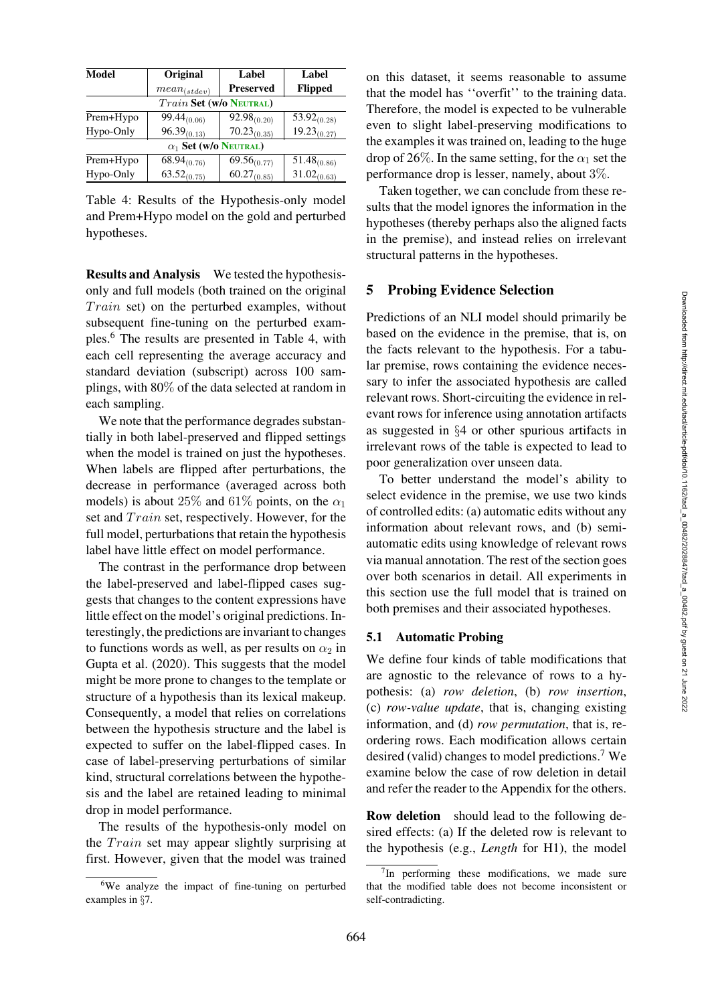|                              | Label            | Label                          |  |
|------------------------------|------------------|--------------------------------|--|
| $mean_{(stdev)}$             | <b>Preserved</b> | <b>Flipped</b>                 |  |
|                              |                  |                                |  |
| $99.44_{(0.06)}$             | $92.98_{(0.20)}$ | $\overline{53.92}_{(0.28)}$    |  |
| $96.39_{(0.13)}$             | $70.23_{(0.35)}$ | $19.23_{(0.27)}$               |  |
| $\alpha_1$ Set (w/o Neutral) |                  |                                |  |
| $68.94_{(0.76)}$             | $69.56_{(0.77)}$ | $51.48_{(0.86)}$               |  |
| $63.52_{(0.75)}$             | $60.27_{(0.85)}$ | $31.02_{(0.63)}$               |  |
|                              | Original         | <b>Train Set (W/o NEUTRAL)</b> |  |

<span id="page-5-1"></span>Table 4: Results of the Hypothesis-only model and Prem+Hypo model on the gold and perturbed hypotheses.

Results and Analysis We tested the hypothesisonly and full models (both trained on the original  $Train$  set) on the perturbed examples, without subsequent fine-tuning on the perturbed examples[.6](#page-5-0) The results are presented in Table [4,](#page-5-1) with each cell representing the average accuracy and standard deviation (subscript) across 100 samplings, with 80% of the data selected at random in each sampling.

We note that the performance degrades substantially in both label-preserved and flipped settings when the model is trained on just the hypotheses. When labels are flipped after perturbations, the decrease in performance (averaged across both models) is about 25% and 61% points, on the  $\alpha_1$ set and *Train* set, respectively. However, for the full model, perturbations that retain the hypothesis label have little effect on model performance.

The contrast in the performance drop between the label-preserved and label-flipped cases suggests that changes to the content expressions have little effect on the model's original predictions. Interestingly, the predictions are invariant to changes to functions words as well, as per results on  $\alpha_2$  in [Gupta et al.](#page-14-0) [\(2020](#page-14-0)). This suggests that the model might be more prone to changes to the template or structure of a hypothesis than its lexical makeup. Consequently, a model that relies on correlations between the hypothesis structure and the label is expected to suffer on the label-flipped cases. In case of label-preserving perturbations of similar kind, structural correlations between the hypothesis and the label are retained leading to minimal drop in model performance.

The results of the hypothesis-only model on the  $Train$  set may appear slightly surprising at first. However, given that the model was trained on this dataset, it seems reasonable to assume that the model has ''overfit'' to the training data. Therefore, the model is expected to be vulnerable even to slight label-preserving modifications to the examples it was trained on, leading to the huge drop of 26%. In the same setting, for the  $\alpha_1$  set the performance drop is lesser, namely, about 3%.

Taken together, we can conclude from these results that the model ignores the information in the hypotheses (thereby perhaps also the aligned facts in the premise), and instead relies on irrelevant structural patterns in the hypotheses.

## <span id="page-5-4"></span>5 Probing Evidence Selection

Predictions of an NLI model should primarily be based on the evidence in the premise, that is, on the facts relevant to the hypothesis. For a tabular premise, rows containing the evidence necessary to infer the associated hypothesis are called relevant rows. Short-circuiting the evidence in relevant rows for inference using annotation artifacts as suggested in §[4](#page-3-0) or other spurious artifacts in irrelevant rows of the table is expected to lead to poor generalization over unseen data.

To better understand the model's ability to select evidence in the premise, we use two kinds of controlled edits: (a) automatic edits without any information about relevant rows, and (b) semiautomatic edits using knowledge of relevant rows via manual annotation. The rest of the section goes over both scenarios in detail. All experiments in this section use the full model that is trained on both premises and their associated hypotheses.

### <span id="page-5-3"></span>5.1 Automatic Probing

We define four kinds of table modifications that are agnostic to the relevance of rows to a hypothesis: (a) *row deletion*, (b) *row insertion*, (c) *row-value update*, that is, changing existing information, and (d) *row permutation*, that is, reordering rows. Each modification allows certain desired (valid) changes to model predictions.<sup>7</sup> We examine below the case of row deletion in detail and refer the reader to the [Appendix](#page-18-0) for the others.

Row deletion should lead to the following desired effects: (a) If the deleted row is relevant to the hypothesis (e.g., *Length* for H1), the model

<span id="page-5-0"></span><sup>6</sup>We analyze the impact of fine-tuning on perturbed examples in §[7.](#page-10-0)

<span id="page-5-2"></span> $7$ In performing these modifications, we made sure that the modified table does not become inconsistent or self-contradicting.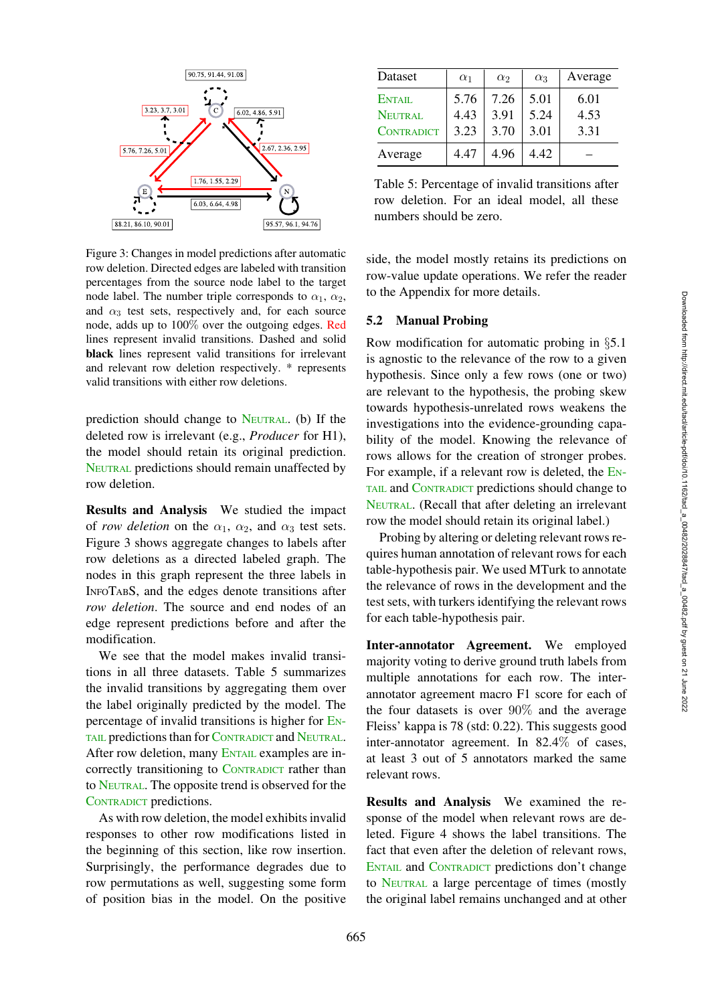

<span id="page-6-0"></span>Figure 3: Changes in model predictions after automatic row deletion. Directed edges are labeled with transition percentages from the source node label to the target node label. The number triple corresponds to  $\alpha_1$ ,  $\alpha_2$ , and  $\alpha_3$  test sets, respectively and, for each source node, adds up to 100% over the outgoing edges. Red lines represent invalid transitions. Dashed and solid black lines represent valid transitions for irrelevant and relevant row deletion respectively. \* represents valid transitions with either row deletions.

prediction should change to NEUTRAL. (b) If the deleted row is irrelevant (e.g., *Producer* for H1), the model should retain its original prediction. NEUTRAL predictions should remain unaffected by row deletion.

Results and Analysis We studied the impact of *row deletion* on the  $\alpha_1$ ,  $\alpha_2$ , and  $\alpha_3$  test sets. Figure [3](#page-6-0) shows aggregate changes to labels after row deletions as a directed labeled graph. The nodes in this graph represent the three labels in INFOTABS, and the edges denote transitions after *row deletion*. The source and end nodes of an edge represent predictions before and after the modification.

We see that the model makes invalid transitions in all three datasets. Table [5](#page-6-1) summarizes the invalid transitions by aggregating them over the label originally predicted by the model. The percentage of invalid transitions is higher for EN-TAIL predictions than for CONTRADICT and NEUTRAL. After row deletion, many ENTAIL examples are incorrectly transitioning to CONTRADICT rather than to NEUTRAL. The opposite trend is observed for the CONTRADICT predictions.

As with row deletion, the model exhibits invalid responses to other row modifications listed in the beginning of this section, like row insertion. Surprisingly, the performance degrades due to row permutations as well, suggesting some form of position bias in the model. On the positive

| Dataset           | $\alpha_1$ | $\alpha$ | $\alpha_3$ | Average |
|-------------------|------------|----------|------------|---------|
| <b>ENTAIL</b>     | 5.76       | 7.26     | 5.01       | 6.01    |
| <b>NEUTRAL</b>    | 4.43       | 3.91     | 5.24       | 4.53    |
| <b>CONTRADICT</b> | 3.23       | 3.70     | 3.01       | 3.31    |
| Average           | 4.47       | 4.96     | 4.42       |         |

<span id="page-6-1"></span>Table 5: Percentage of invalid transitions after row deletion. For an ideal model, all these numbers should be zero.

side, the model mostly retains its predictions on row-value update operations. We refer the reader to the [Appendix](#page-18-0) for more details.

## <span id="page-6-2"></span>5.2 Manual Probing

Row modification for automatic probing in §[5.1](#page-5-3) is agnostic to the relevance of the row to a given hypothesis. Since only a few rows (one or two) are relevant to the hypothesis, the probing skew towards hypothesis-unrelated rows weakens the investigations into the evidence-grounding capability of the model. Knowing the relevance of rows allows for the creation of stronger probes. For example, if a relevant row is deleted, the EN-TAIL and CONTRADICT predictions should change to NEUTRAL. (Recall that after deleting an irrelevant row the model should retain its original label.)

Probing by altering or deleting relevant rows requires human annotation of relevant rows for each table-hypothesis pair. We used MTurk to annotate the relevance of rows in the development and the test sets, with turkers identifying the relevant rows for each table-hypothesis pair.

Inter-annotator Agreement. We employed majority voting to derive ground truth labels from multiple annotations for each row. The interannotator agreement macro F1 score for each of the four datasets is over 90% and the average Fleiss' kappa is 78 (std: 0.22). This suggests good inter-annotator agreement. In 82.4% of cases, at least 3 out of 5 annotators marked the same relevant rows.

Results and Analysis We examined the response of the model when relevant rows are deleted. Figure [4](#page-7-1) shows the label transitions. The fact that even after the deletion of relevant rows, ENTAIL and CONTRADICT predictions don't change to NEUTRAL a large percentage of times (mostly the original label remains unchanged and at other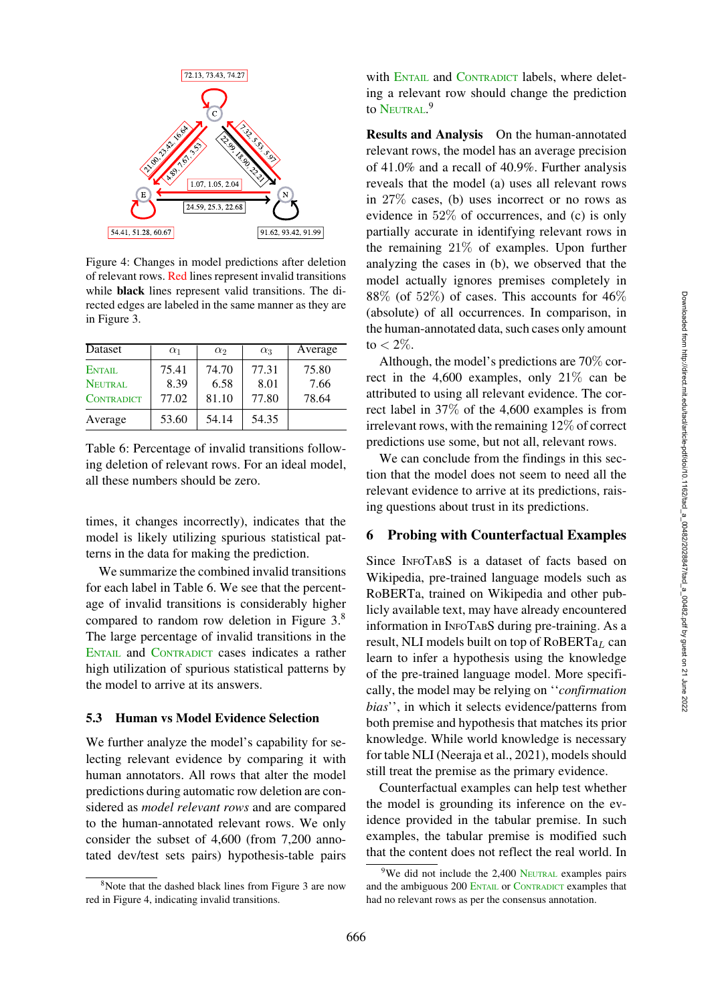

<span id="page-7-1"></span>Figure 4: Changes in model predictions after deletion of relevant rows. Red lines represent invalid transitions while black lines represent valid transitions. The directed edges are labeled in the same manner as they are in Figure [3.](#page-6-0)

| <b>D</b> ataset   | $\alpha_1$ | $\alpha_2$ | $\alpha_3$ | Average |
|-------------------|------------|------------|------------|---------|
| ENTAIL            | 75.41      | 74.70      | 77.31      | 75.80   |
| NEUTRAL           | 8.39       | 6.58       | 8.01       | 7.66    |
| <b>CONTRADICT</b> | 77.02      | 81.10      | 77.80      | 78.64   |
| Average           | 53.60      | 54.14      | 54.35      |         |

<span id="page-7-2"></span>Table 6: Percentage of invalid transitions following deletion of relevant rows. For an ideal model, all these numbers should be zero.

times, it changes incorrectly), indicates that the model is likely utilizing spurious statistical patterns in the data for making the prediction.

We summarize the combined invalid transitions for each label in Table [6.](#page-7-2) We see that the percentage of invalid transitions is considerably higher compared to random row deletion in Figure [3.](#page-6-0)[8](#page-7-3) The large percentage of invalid transitions in the ENTAIL and CONTRADICT cases indicates a rather high utilization of spurious statistical patterns by the model to arrive at its answers.

#### 5.3 Human vs Model Evidence Selection

We further analyze the model's capability for selecting relevant evidence by comparing it with human annotators. All rows that alter the model predictions during automatic row deletion are considered as *model relevant rows* and are compared to the human-annotated relevant rows. We only consider the subset of 4,600 (from 7,200 annotated dev/test sets pairs) hypothesis-table pairs with ENTAIL and CONTRADICT labels, where deleting a relevant row should change the prediction to Neutral.<sup>[9](#page-7-4)</sup>

Results and Analysis On the human-annotated relevant rows, the model has an average precision of 41.0% and a recall of 40.9%. Further analysis reveals that the model (a) uses all relevant rows in 27% cases, (b) uses incorrect or no rows as evidence in 52% of occurrences, and (c) is only partially accurate in identifying relevant rows in the remaining 21% of examples. Upon further analyzing the cases in (b), we observed that the model actually ignores premises completely in  $88\%$  (of 52%) of cases. This accounts for 46% (absolute) of all occurrences. In comparison, in the human-annotated data, such cases only amount to  $< 2\%$ .

Although, the model's predictions are 70% correct in the 4,600 examples, only  $21\%$  can be attributed to using all relevant evidence. The correct label in 37% of the 4,600 examples is from irrelevant rows, with the remaining 12% of correct predictions use some, but not all, relevant rows.

We can conclude from the findings in this section that the model does not seem to need all the relevant evidence to arrive at its predictions, raising questions about trust in its predictions.

### <span id="page-7-0"></span>6 Probing with Counterfactual Examples

Since INFOTABS is a dataset of facts based on Wikipedia, pre-trained language models such as RoBERTa, trained on Wikipedia and other publicly available text, may have already encountered information in INFOTABS during pre-training. As a result, NLI models built on top of  $RoBERTa<sub>L</sub>$  can learn to infer a hypothesis using the knowledge of the pre-trained language model. More specifically, the model may be relying on ''*confirmation bias*'', in which it selects evidence/patterns from both premise and hypothesis that matches its prior knowledge. While world knowledge is necessary for table NLI [\(Neeraja et al., 2021\)](#page-16-3), models should still treat the premise as the primary evidence.

Counterfactual examples can help test whether the model is grounding its inference on the evidence provided in the tabular premise. In such examples, the tabular premise is modified such that the content does not reflect the real world. In

<span id="page-7-3"></span><sup>&</sup>lt;sup>8</sup>Note that the dashed black lines from Figure [3](#page-6-0) are now red in Figure [4,](#page-7-1) indicating invalid transitions.

<span id="page-7-4"></span><sup>&</sup>lt;sup>9</sup>We did not include the 2,400 NEUTRAL examples pairs and the ambiguous 200 ENTAIL or CONTRADICT examples that had no relevant rows as per the consensus annotation.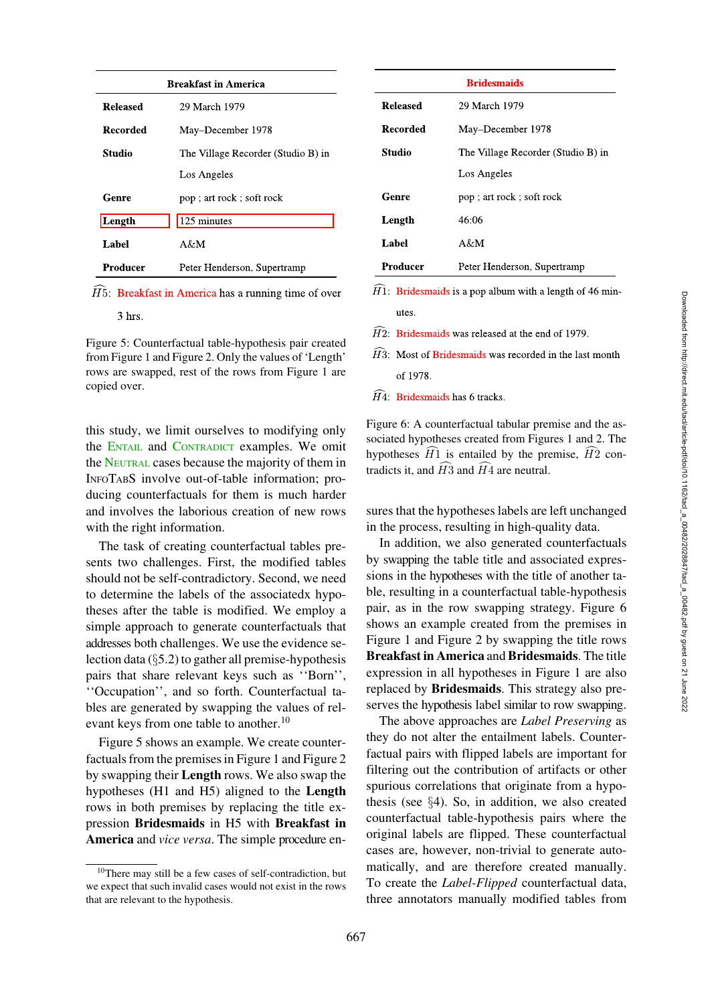| <b>Breakfast in America</b>            |       |
|----------------------------------------|-------|
| 29 March 1979                          | Rele  |
| May-December 1978                      | Rec   |
| The Village Recorder (Studio B) in     | Stuc  |
| Los Angeles                            |       |
| pop; art rock; soft rock               | Gen   |
| 125 minutes                            | Len   |
| A&M                                    | Lab   |
| Peter Henderson, Supertramp            | Pro   |
| in America has a running time of over  | H1: E |
|                                        | U     |
| ufootuol toklo kymothoois noin anostod | H2:   |

Figure 5: Counterfactual table-hypothesis pair created from Figure [1](#page-1-2) and Figure [2.](#page-4-2) Only the values of 'Length' rows are swapped, rest of the rows from Figure [1](#page-1-2) are copied over.

**Released** 

**Recorded** 

**Studio** 

Genre

Length

Label

Producer

<span id="page-8-1"></span> $3$  hrs.

 $\widehat{H}$ 5: Breakfast in Ame

this study, we limit ourselves to modifying only the ENTAIL and CONTRADICT examples. We omit the NEUTRAL cases because the majority of them in INFOTABS involve out-of-table information; producing counterfactuals for them is much harder and involves the laborious creation of new rows with the right information.

The task of creating counterfactual tables presents two challenges. First, the modified tables should not be self-contradictory. Second, we need to determine the labels of the associatedx hypotheses after the table is modified. We employ a simple approach to generate counterfactuals that addresses both challenges. We use the evidence selection data  $(\S$ [5.2\)](#page-6-2) to gather all premise-hypothesis pairs that share relevant keys such as ''Born'', ''Occupation'', and so forth. Counterfactual tables are generated by swapping the values of relevant keys from one table to another.<sup>10</sup>

Figure [5](#page-8-1) shows an example. We create counterfactuals from the premises in Figure [1](#page-1-2) and Figure [2](#page-4-2) by swapping their Length rows. We also swap the hypotheses (H1 and H5) aligned to the Length rows in both premises by replacing the title expression Bridesmaids in H5 with Breakfast in America and *vice versa*. The simple procedure en-

| <b>Bridesmaids</b> |                                    |  |  |
|--------------------|------------------------------------|--|--|
| <b>Released</b>    | 29 March 1979                      |  |  |
| Recorded           | May-December 1978                  |  |  |
| Studio             | The Village Recorder (Studio B) in |  |  |
|                    | Los Angeles                        |  |  |
| Genre              | pop; art rock; soft rock           |  |  |
| Length             | 46:06                              |  |  |
| Label              | $A \& M$                           |  |  |
| Producer           | Peter Henderson, Supertramp        |  |  |

Bridesmaids is a pop album with a length of 46 min**a**ti

- Bridesmaids was released at the end of 1979.
- $\overline{H}3$ : Most of Bridesmaids was recorded in the last month of 1978.
- $\widehat{H}4$ : Bridesmaids has 6 tracks.

<span id="page-8-2"></span>Figure 6: A counterfactual tabular premise and the associated hypotheses created from Figures [1](#page-1-2) and [2.](#page-4-2) The hypotheses  $H1$  is entailed by the premise,  $H2$  conand the state of the state of the state of the state of the state of the state of the state of the state of the<br>State of the state of the state of the state of the state of the state of the state of the state of the state tradicts it, and  $H3$  and  $H4$  are neutral. --

sures that the hypotheses labels are left unchanged in the process, resulting in high-quality data.

In addition, we also generated counterfactuals by swapping the table title and associated expressions in the hypotheses with the title of another table, resulting in a counterfactual table-hypothesis pair, as in the row swapping strategy. Figure [6](#page-8-2) shows an example created from the premises in Figure [1](#page-1-2) and Figure [2](#page-4-2) by swapping the title rows Breakfast in America and Bridesmaids. The title expression in all hypotheses in Figure [1](#page-1-2) are also replaced by Bridesmaids. This strategy also preserves the hypothesis label similar to row swapping.

The above approaches are *Label Preserving* as they do not alter the entailment labels. Counterfactual pairs with flipped labels are important for filtering out the contribution of artifacts or other spurious correlations that originate from a hypothesis (see §[4\)](#page-3-0). So, in addition, we also created counterfactual table-hypothesis pairs where the original labels are flipped. These counterfactual cases are, however, non-trivial to generate automatically, and are therefore created manually. To create the *Label-Flipped* counterfactual data, three annotators manually modified tables from

<span id="page-8-0"></span><sup>10</sup>There may still be a few cases of self-contradiction, but we expect that such invalid cases would not exist in the rows that are relevant to the hypothesis.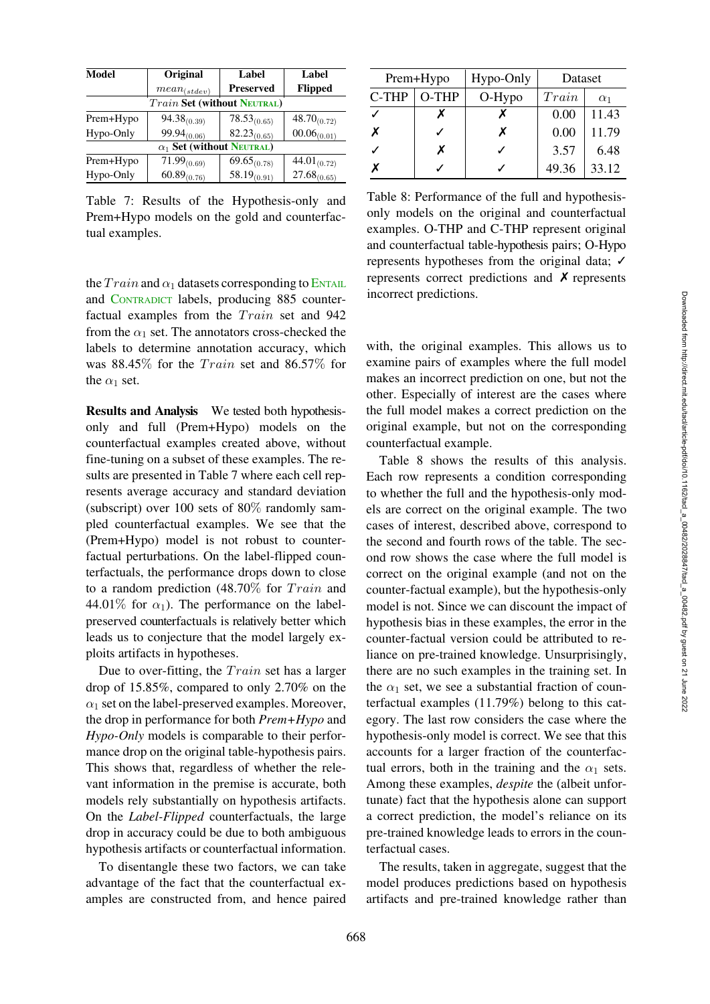| Model     | Original                           | Label            | Label                       |
|-----------|------------------------------------|------------------|-----------------------------|
|           | $mean_{(stdev)}$                   | <b>Preserved</b> | <b>Flipped</b>              |
|           | <b>Train Set (without NEUTRAL)</b> |                  |                             |
| Prem+Hypo | $94.38_{(0.39)}$                   | $78.53_{(0.65)}$ | $48.70_{(0.72)}$            |
| Hypo-Only | $99.94_{(0.06)}$                   | $82.23_{(0.65)}$ | $00.06_{(0.01)}$            |
|           | $\alpha_1$ Set (without NEUTRAL)   |                  |                             |
| Prem+Hypo | $\overline{7}1.99_{(0.69)}$        | $69.65_{(0.78)}$ | $\overline{44.01}_{(0.72)}$ |
| Hypo-Only | $60.89_{(0.76)}$                   | $58.19_{(0.91)}$ | $27.68_{(0.65)}$            |
|           |                                    |                  |                             |

<span id="page-9-0"></span>Table 7: Results of the Hypothesis-only and Prem+Hypo models on the gold and counterfactual examples.

| Prem+Hypo |       | Hypo-Only | Dataset |            |
|-----------|-------|-----------|---------|------------|
| C-THP     | O-THP | $O-Hypo$  | Train   | $\alpha_1$ |
|           |       |           | 0.00    | 11.43      |
| X         |       | X         | 0.00    | 11.79      |
|           | x     |           | 3.57    | 6.48       |
| x         |       |           | 49.36   | 33.12      |

<span id="page-9-1"></span>Table 8: Performance of the full and hypothesisonly models on the original and counterfactual examples. O-THP and C-THP represent original and counterfactual table-hypothesis pairs; O-Hypo represents hypotheses from the original data;  $\checkmark$ represents correct predictions and ✗ represents incorrect predictions.

the  $Train$  and  $\alpha_1$  datasets corresponding to ENTAIL and CONTRADICT labels, producing 885 counterfactual examples from the Train set and 942 from the  $\alpha_1$  set. The annotators cross-checked the labels to determine annotation accuracy, which was  $88.45\%$  for the *Train* set and  $86.57\%$  for the  $\alpha_1$  set.

Results and Analysis We tested both hypothesisonly and full (Prem+Hypo) models on the counterfactual examples created above, without fine-tuning on a subset of these examples. The results are presented in Table [7](#page-9-0) where each cell represents average accuracy and standard deviation (subscript) over 100 sets of 80% randomly sampled counterfactual examples. We see that the (Prem+Hypo) model is not robust to counterfactual perturbations. On the label-flipped counterfactuals, the performance drops down to close to a random prediction  $(48.70\%$  for  $Train$  and 44.01% for  $\alpha_1$ ). The performance on the labelpreserved counterfactuals is relatively better which leads us to conjecture that the model largely exploits artifacts in hypotheses.

Due to over-fitting, the  $Train$  set has a larger drop of 15.85%, compared to only 2.70% on the  $\alpha_1$  set on the label-preserved examples. Moreover, the drop in performance for both *Prem+Hypo* and *Hypo-Only* models is comparable to their performance drop on the original table-hypothesis pairs. This shows that, regardless of whether the relevant information in the premise is accurate, both models rely substantially on hypothesis artifacts. On the *Label-Flipped* counterfactuals, the large drop in accuracy could be due to both ambiguous hypothesis artifacts or counterfactual information.

To disentangle these two factors, we can take advantage of the fact that the counterfactual examples are constructed from, and hence paired

with, the original examples. This allows us to examine pairs of examples where the full model makes an incorrect prediction on one, but not the other. Especially of interest are the cases where the full model makes a correct prediction on the original example, but not on the corresponding counterfactual example.

Table [8](#page-9-1) shows the results of this analysis. Each row represents a condition corresponding to whether the full and the hypothesis-only models are correct on the original example. The two cases of interest, described above, correspond to the second and fourth rows of the table. The second row shows the case where the full model is correct on the original example (and not on the counter-factual example), but the hypothesis-only model is not. Since we can discount the impact of hypothesis bias in these examples, the error in the counter-factual version could be attributed to reliance on pre-trained knowledge. Unsurprisingly, there are no such examples in the training set. In the  $\alpha_1$  set, we see a substantial fraction of counterfactual examples (11.79%) belong to this category. The last row considers the case where the hypothesis-only model is correct. We see that this accounts for a larger fraction of the counterfactual errors, both in the training and the  $\alpha_1$  sets. Among these examples, *despite* the (albeit unfortunate) fact that the hypothesis alone can support a correct prediction, the model's reliance on its pre-trained knowledge leads to errors in the counterfactual cases.

The results, taken in aggregate, suggest that the model produces predictions based on hypothesis artifacts and pre-trained knowledge rather than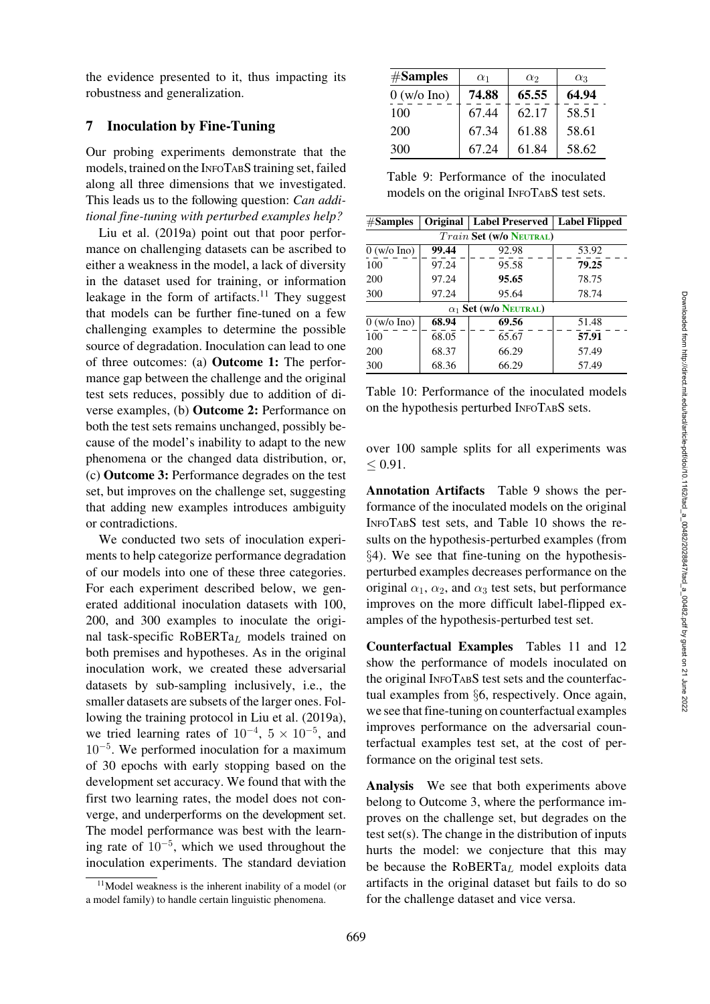the evidence presented to it, thus impacting its robustness and generalization.

# <span id="page-10-0"></span>7 Inoculation by Fine-Tuning

Our probing experiments demonstrate that the models, trained on the INFOTABS training set, failed along all three dimensions that we investigated. This leads us to the following question: *Can addi[tional](#page-15-1) [fine-tu](#page-15-1)ning with perturbed examples help?*

Liu et al. [\(2019a\)](#page-15-1) point out that poor performance on challenging datasets can be ascribed to either a weakness in the model, a lack of diversity in the dataset used for training, or information leakage in the form of artifacts.<sup>11</sup> They suggest that models can be further fine-tuned on a few challenging examples to determine the possible source of degradation. Inoculation can lead to one of three outcomes: (a) Outcome 1: The performance gap between the challenge and the original test sets reduces, possibly due to addition of diverse examples, (b) Outcome 2: Performance on both the test sets remains unchanged, possibly because of the model's inability to adapt to the new phenomena or the changed data distribution, or, (c) Outcome 3: Performance degrades on the test set, but improves on the challenge set, suggesting that adding new examples introduces ambiguity or contradictions.

We conducted two sets of inoculation experiments to help categorize performance degradation of our models into one of these three categories. For each experiment described below, we generated additional inoculation datasets with 100, 200, and 300 examples to inoculate the original task-specific RoBERT $a_L$  models trained on both premises and hypotheses. As in the original inoculation work, we created these adversarial datasets by sub-sampling inclusively, i.e., the smaller datasets are subsets of the larger ones. Following the training protocol in [Liu et al.](#page-15-1) [\(2019a\)](#page-15-1), we tried learning rates of  $10^{-4}$ ,  $5 \times 10^{-5}$ , and  $10^{-5}$ . We performed inoculation for a maximum of 30 epochs with early stopping based on the development set accuracy. We found that with the first two learning rates, the model does not converge, and underperforms on the development set. The model performance was best with the learning rate of  $10^{-5}$ , which we used throughout the inoculation experiments. The standard deviation

| #Samples      | $\alpha_1$ | $\alpha_2$ | $\alpha_3$ |
|---------------|------------|------------|------------|
| $0$ (w/o Ino) | 74.88      | 65.55      | 64.94      |
| 100           | 67.44      | 62.17      | 58.51      |
| 200           | 67.34      | 61.88      | 58.61      |
| 300           | 67.24      | 61.84      | 58.62      |

<span id="page-10-2"></span>

| Table 9: Performance of the inoculated     |  |  |  |  |
|--------------------------------------------|--|--|--|--|
| models on the original INFOTABS test sets. |  |  |  |  |

| #Samples                       |       | Original   Label Preserved | <b>Label Flipped</b> |  |  |  |  |
|--------------------------------|-------|----------------------------|----------------------|--|--|--|--|
| <b>Train Set (w/o NEUTRAL)</b> |       |                            |                      |  |  |  |  |
| $0$ (w/o Ino)                  | 99.44 | 92.98                      | 53.92                |  |  |  |  |
| 100                            | 97.24 | 95.58                      | 79.25                |  |  |  |  |
| 200                            | 97.24 | 95.65                      | 78.75                |  |  |  |  |
| 300                            | 97.24 | 95.64                      | 78.74                |  |  |  |  |
| $\alpha_1$ Set (w/o Neutral)   |       |                            |                      |  |  |  |  |
| $0$ (w/o Ino)                  | 68.94 | 69.56                      | 51.48                |  |  |  |  |
| 100                            | 68.05 | 65.67                      | 57.91                |  |  |  |  |
| 200                            | 68.37 | 66.29                      | 57.49                |  |  |  |  |
| 300                            | 68.36 | 66.29                      | 57.49                |  |  |  |  |

<span id="page-10-3"></span>Table 10: Performance of the inoculated models on the hypothesis perturbed INFOTABS sets.

over 100 sample splits for all experiments was  $< 0.91$ .

Annotation Artifacts Table [9](#page-10-2) shows the performance of the inoculated models on the original INFOTABS test sets, and Table [10](#page-10-3) shows the results on the hypothesis-perturbed examples (from §[4\)](#page-3-0). We see that fine-tuning on the hypothesisperturbed examples decreases performance on the original  $\alpha_1$ ,  $\alpha_2$ , and  $\alpha_3$  test sets, but performance improves on the more difficult label-flipped examples of the hypothesis-perturbed test set.

Counterfactual Examples Tables [11](#page-11-1) and [12](#page-11-2) show the performance of models inoculated on the original INFOTABS test sets and the counterfactual examples from §[6,](#page-7-0) respectively. Once again, we see that fine-tuning on counterfactual examples improves performance on the adversarial counterfactual examples test set, at the cost of performance on the original test sets.

Analysis We see that both experiments above belong to Outcome 3, where the performance improves on the challenge set, but degrades on the test set(s). The change in the distribution of inputs hurts the model: we conjecture that this may be because the  $RoBERTa<sub>L</sub>$  model exploits data artifacts in the original dataset but fails to do so for the challenge dataset and vice versa.

<span id="page-10-1"></span><sup>11</sup>Model weakness is the inherent inability of a model (or a model family) to handle certain linguistic phenomena.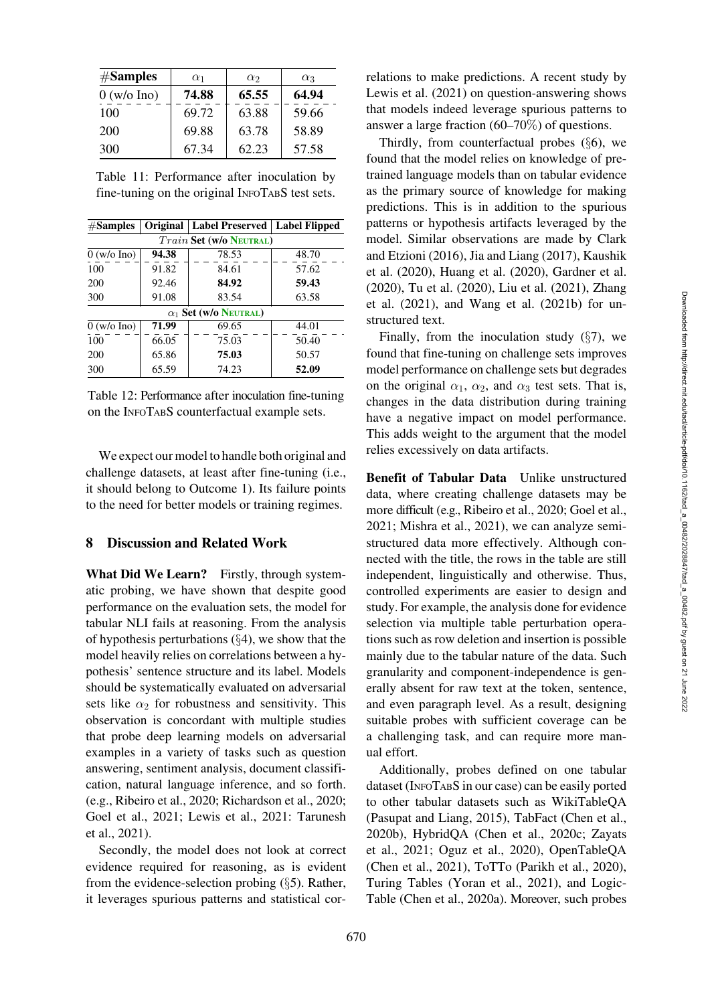| #Samples      | $\alpha_1$ | $\alpha_2$ | $\alpha_3$ |
|---------------|------------|------------|------------|
| $0$ (w/o Ino) | 74.88      | 65.55      | 64.94      |
| 100           | 69.72      | 63.88      | 59.66      |
| 200           | 69.88      | 63.78      | 58.89      |
| 300           | 67.34      | 62.23      | 57.58      |

<span id="page-11-1"></span>Table 11: Performance after inoculation by fine-tuning on the original INFOTABS test sets.

| #Samples      |                                | Original   Label Preserved   Label Flipped |       |  |  |  |  |  |
|---------------|--------------------------------|--------------------------------------------|-------|--|--|--|--|--|
|               | <b>Train Set (W/o NEUTRAL)</b> |                                            |       |  |  |  |  |  |
| $0$ (w/o Ino) | 94.38                          | 78.53                                      | 48.70 |  |  |  |  |  |
| 100           | 91.82                          | 84.61                                      | 57.62 |  |  |  |  |  |
| 200           | 92.46                          | 84.92                                      | 59.43 |  |  |  |  |  |
| 300           | 91.08                          | 83.54                                      | 63.58 |  |  |  |  |  |
|               |                                | $\alpha_1$ Set (w/o Neutral)               |       |  |  |  |  |  |
| $0$ (w/o Ino) | 71.99                          | 69.65                                      | 44.01 |  |  |  |  |  |
| 100           | 66.05                          | 75.03                                      | 50.40 |  |  |  |  |  |
| 200           | 65.86                          | 75.03                                      | 50.57 |  |  |  |  |  |
| 300           | 65.59                          | 74.23                                      | 52.09 |  |  |  |  |  |

<span id="page-11-2"></span>Table 12: Performance after inoculation fine-tuning on the INFOTABS counterfactual example sets.

We expect our model to handle both original and challenge datasets, at least after fine-tuning (i.e., it should belong to Outcome 1). Its failure points to the need for better models or training regimes.

## <span id="page-11-0"></span>8 Discussion and Related Work

What Did We Learn? Firstly, through systematic probing, we have shown that despite good performance on the evaluation sets, the model for tabular NLI fails at reasoning. From the analysis of hypothesis perturbations (§[4\)](#page-3-0), we show that the model heavily relies on correlations between a hypothesis' sentence structure and its label. Models should be systematically evaluated on adversarial sets like  $\alpha_2$  for robustness and sensitivity. This observation is concordant with multiple studies that probe deep learning models on adversarial examples in a variety of tasks such as question answering, sentiment analysis, document classification, natural language inference, and so forth. (e.g., [Ribeiro et al.](#page-17-2), [2020;](#page-17-2) [Richardson et al., 2020](#page-17-3); [Goel et al.](#page-14-2), [2021](#page-14-2); [Lewis et al.](#page-15-2), [2021:](#page-15-2) [Tarunesh](#page-17-4) [et al.,](#page-17-4) [2021\)](#page-17-5).

Secondly, the model does not look at correct evidence required for reasoning, as is evident from the evidence-selection probing (§[5\)](#page-5-4). Rather, it leverages spurious patterns and statistical correlations to make predictions. A recent study by [Lewis et al.](#page-15-2) [\(2021\)](#page-15-2) on question-answering shows that models indeed leverage spurious patterns to answer a large fraction (60–70%) of questions.

Thirdly, from counterfactual probes (§[6\)](#page-7-0), we found that the model relies on knowledge of pretrained language models than on tabular evidence as the primary source of knowledge for making predictions. This is in addition to the spurious patterns or hypothesis artifacts leveraged by the model. Similar observations are made by [Clark](#page-13-7) [and Etzioni](#page-13-7) [\(2016](#page-13-8)), [Jia and Liang](#page-15-3) [\(2017](#page-15-3)), [Kaushik](#page-15-4) [et al.](#page-15-4) [\(2020\)](#page-15-5), [Huang et al.](#page-14-3) [\(2020\)](#page-14-3), [Gardner et al.](#page-13-5) [\(2020\)](#page-13-5), [Tu et al.](#page-17-6) [\(2020\)](#page-17-6), [Liu et al.](#page-15-6) [\(2021\)](#page-15-6), [Zhang](#page-17-7) [et al.](#page-17-7) [\(2021](#page-17-8)), and [Wang et al.](#page-17-9) [\(2021b\)](#page-17-9) for unstructured text.

Finally, from the inoculation study  $(\S7)$  $(\S7)$ , we found that fine-tuning on challenge sets improves model performance on challenge sets but degrades on the original  $\alpha_1$ ,  $\alpha_2$ , and  $\alpha_3$  test sets. That is, changes in the data distribution during training have a negative impact on model performance. This adds weight to the argument that the model relies excessively on data artifacts.

Benefit of Tabular Data Unlike unstructured data, where creating challenge datasets may be more difficult (e.g., [Ribeiro et al.](#page-17-2), [2020](#page-17-2); [Goel et al.,](#page-14-2) [2021](#page-14-2); [Mishra et al., 2021\)](#page-15-7), we can analyze semistructured data more effectively. Although connected with the title, the rows in the table are still independent, linguistically and otherwise. Thus, controlled experiments are easier to design and study. For example, the analysis done for evidence selection via multiple table perturbation operations such as row deletion and insertion is possible mainly due to the tabular nature of the data. Such granularity and component-independence is generally absent for raw text at the token, sentence, and even paragraph level. As a result, designing suitable probes with sufficient coverage can be a challenging task, and can require more manual effort.

Additionally, probes defined on one tabular dataset (INFOTABS in our case) can be easily ported to other tabular datasets such as WikiTableQA [\(Pasupat and Liang](#page-16-4), [2015](#page-16-4)), TabFact [\(Chen et al.,](#page-13-0) [2020b\)](#page-13-0), HybridQA [\(Chen et al., 2020c](#page-13-9); [Zayats](#page-17-10) [et al.,](#page-17-10) [2021](#page-17-11); [Oguz et al.](#page-16-5), [2020\)](#page-16-5), OpenTableQA [\(Chen et al., 2021](#page-12-3)), ToTTo [\(Parikh et al., 2020](#page-16-6)), Turing Tables [\(Yoran et al.](#page-17-12), [2021\)](#page-17-12), and Logic-Table [\(Chen et al.](#page-13-10), [2020a\)](#page-13-10). Moreover, such probes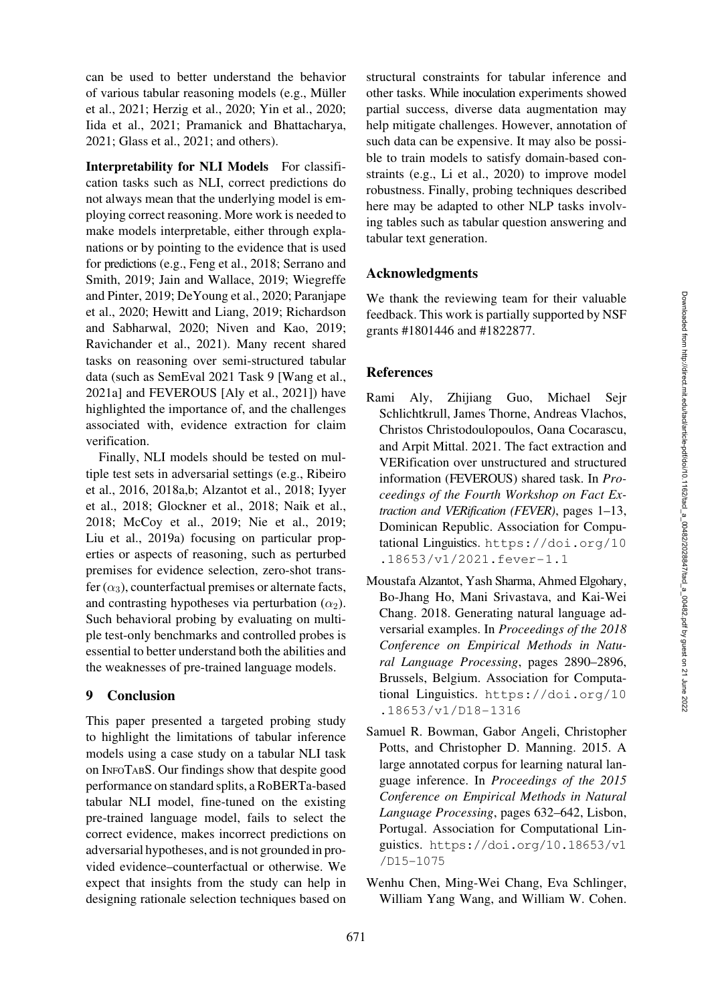can be used to better understand the behavior of various tabular reasoning models (e.g., [Muller](#page-15-8) ¨ [et al.,](#page-15-8) [2021;](#page-15-9) [Herzig et al.](#page-14-4), [2020](#page-14-4); [Yin et al.](#page-17-0), [2020](#page-17-0); [Iida et al.](#page-14-5), [2021;](#page-14-5) [Pramanick and Bhattacharya,](#page-16-7) [2021;](#page-16-7) [Glass et al.](#page-14-6), [2021;](#page-14-6) and others).

Interpretability for NLI Models For classification tasks such as NLI, correct predictions do not always mean that the underlying model is employing correct reasoning. More work is needed to make models interpretable, either through explanations or by pointing to the evidence that is used for predictions (e.g., [Feng et al., 2018;](#page-13-11) [Serrano and](#page-17-13) [Smith,](#page-17-13) [2019;](#page-17-14) [Jain and Wallace, 2019;](#page-15-10) [Wiegreffe](#page-17-15) [and Pinter,](#page-17-15) [2019](#page-17-16); [DeYoung et al., 2020;](#page-13-12) [Paranjape](#page-16-8) [et al.,](#page-16-8) [2020;](#page-16-9) [Hewitt and Liang, 2019;](#page-14-7) [Richardson](#page-17-17) [and Sabharwal,](#page-17-17) [2020](#page-17-18); [Niven and Kao, 2019](#page-16-2); [Ravichander et al., 2021\)](#page-16-10). Many recent shared tasks on reasoning over semi-structured tabular data (such as SemEval 2021 Task 9 [\[Wang et al.,](#page-17-1) [2021a\]](#page-17-1) and FEVEROUS [\[Aly et al., 2021\]](#page-12-2)) have highlighted the importance of, and the challenges associated with, evidence extraction for claim verification.

Finally, NLI models should be tested on multiple test sets in adversarial settings (e.g., [Ribeiro](#page-16-11) [et al.,](#page-16-11) [2016,](#page-16-12) [2018a](#page-16-13)[,b;](#page-17-19) [Alzantot et al., 2018;](#page-12-4) [Iyyer](#page-14-8) [et al.,](#page-14-8) [2018;](#page-14-9) [Glockner et al.](#page-14-10), [2018;](#page-14-10) [Naik et al.,](#page-15-11) [2018](#page-15-11); [McCoy et al., 2019](#page-15-12); [Nie et al.](#page-16-14), [2019](#page-16-14); [Liu et al.](#page-15-1), [2019a](#page-15-1)) focusing on particular properties or aspects of reasoning, such as perturbed premises for evidence selection, zero-shot transfer  $(\alpha_3)$ , counterfactual premises or alternate facts, and contrasting hypotheses via perturbation  $(\alpha_2)$ . Such behavioral probing by evaluating on multiple test-only benchmarks and controlled probes is essential to better understand both the abilities and the weaknesses of pre-trained language models.

# <span id="page-12-1"></span>9 Conclusion

This paper presented a targeted probing study to highlight the limitations of tabular inference models using a case study on a tabular NLI task on INFOTABS. Our findings show that despite good performance on standard splits, a RoBERTa-based tabular NLI model, fine-tuned on the existing pre-trained language model, fails to select the correct evidence, makes incorrect predictions on adversarial hypotheses, and is not grounded in provided evidence–counterfactual or otherwise. We expect that insights from the study can help in designing rationale selection techniques based on

structural constraints for tabular inference and other tasks. While inoculation experiments showed partial success, diverse data augmentation may help mitigate challenges. However, annotation of such data can be expensive. It may also be possible to train models to satisfy domain-based constraints (e.g., [Li et al.](#page-15-13), [2020](#page-15-13)) to improve model robustness. Finally, probing techniques described here may be adapted to other NLP tasks involving tables such as tabular question answering and tabular text generation.

# Acknowledgments

We thank the reviewing team for their valuable feedback. This work is partially supported by NSF grants #1801446 and #1822877.

# References

- <span id="page-12-2"></span>Rami Aly, Zhijiang Guo, Michael Sejr Schlichtkrull, James Thorne, Andreas Vlachos, Christos Christodoulopoulos, Oana Cocarascu, and Arpit Mittal. 2021. The fact extraction and VERification over unstructured and structured information (FEVEROUS) shared task. In *Proceedings of the Fourth Workshop on Fact Extraction and VERification (FEVER)*, pages 1–13, Dominican Republic. Association for Computational Linguistics. [https://doi.org/10](https://doi.org/10.18653/v1/2021.fever-1.1) [.18653/v1/2021.fever-1.1](https://doi.org/10.18653/v1/2021.fever-1.1)
- <span id="page-12-4"></span>Moustafa Alzantot, Yash Sharma, Ahmed Elgohary, Bo-Jhang Ho, Mani Srivastava, and Kai-Wei Chang. 2018. Generating natural language adversarial examples. In *Proceedings of the 2018 Conference on Empirical Methods in Natural Language Processing*, pages 2890–2896, Brussels, Belgium. Association for Computational Linguistics. [https://doi.org/10](https://doi.org/10.18653/v1/D18-1316) [.18653/v1/D18-1316](https://doi.org/10.18653/v1/D18-1316)
- <span id="page-12-0"></span>Samuel R. Bowman, Gabor Angeli, Christopher Potts, and Christopher D. Manning. 2015. A large annotated corpus for learning natural language inference. In *Proceedings of the 2015 Conference on Empirical Methods in Natural Language Processing*, pages 632–642, Lisbon, Portugal. Association for Computational Linguistics. [https://doi.org/10.18653/v1](https://doi.org/10.18653/v1/D15-1075) [/D15-1075](https://doi.org/10.18653/v1/D15-1075)
- <span id="page-12-3"></span>Wenhu Chen, Ming-Wei Chang, Eva Schlinger, William Yang Wang, and William W. Cohen.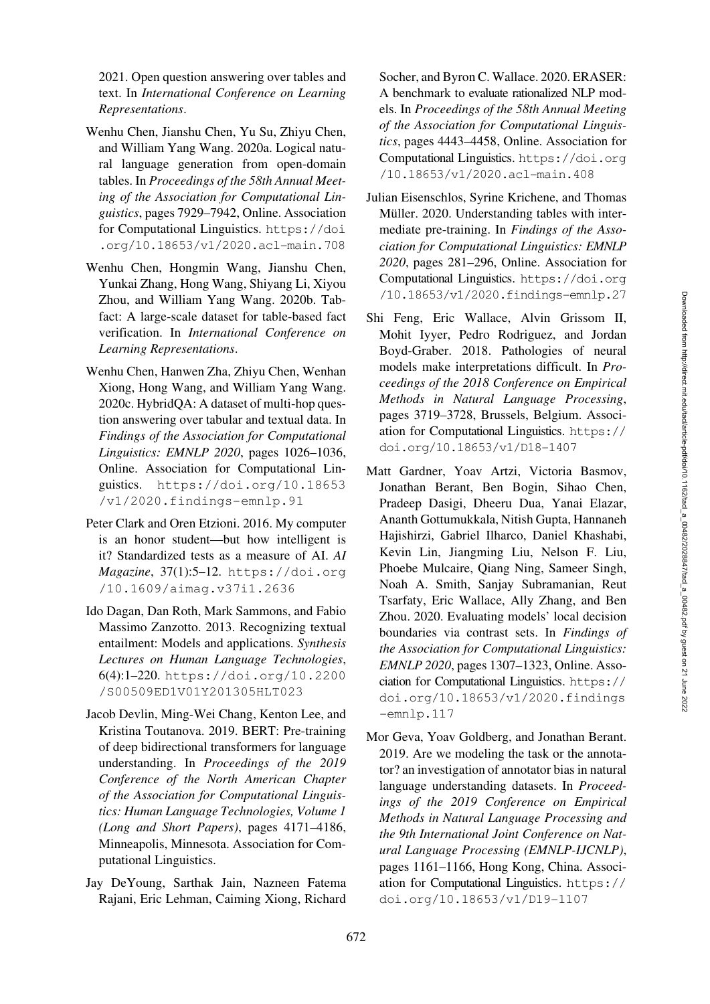2021. Open question answering over tables and text. In *International Conference on Learning Representations*.

- <span id="page-13-10"></span>Wenhu Chen, Jianshu Chen, Yu Su, Zhiyu Chen, and William Yang Wang. 2020a. Logical natural language generation from open-domain tables. In *Proceedings of the 58th Annual Meeting of the Association for Computational Linguistics*, pages 7929–7942, Online. Association for Computational Linguistics. [https://doi](https://doi.org/10.18653/v1/2020.acl-main.708) [.org/10.18653/v1/2020.acl-main.708](https://doi.org/10.18653/v1/2020.acl-main.708)
- <span id="page-13-0"></span>Wenhu Chen, Hongmin Wang, Jianshu Chen, Yunkai Zhang, Hong Wang, Shiyang Li, Xiyou Zhou, and William Yang Wang. 2020b. Tabfact: A large-scale dataset for table-based fact verification. In *International Conference on Learning Representations*.
- <span id="page-13-9"></span>Wenhu Chen, Hanwen Zha, Zhiyu Chen, Wenhan Xiong, Hong Wang, and William Yang Wang. 2020c. HybridQA: A dataset of multi-hop question answering over tabular and textual data. In *Findings of the Association for Computational Linguistics: EMNLP 2020*, pages 1026–1036, Online. Association for Computational Linguistics. [https://doi.org/10.18653](https://doi.org/10.18653/v1/2020.findings-emnlp.91) [/v1/2020.findings-emnlp.91](https://doi.org/10.18653/v1/2020.findings-emnlp.91)
- <span id="page-13-8"></span><span id="page-13-7"></span>Peter Clark and Oren Etzioni. 2016. My computer is an honor student—but how intelligent is it? Standardized tests as a measure of AI. *AI Magazine*, 37(1):5–12. [https://doi.org](https://doi.org/10.1609/aimag.v37i1.2636) [/10.1609/aimag.v37i1.2636](https://doi.org/10.1609/aimag.v37i1.2636)
- <span id="page-13-1"></span>Ido Dagan, Dan Roth, Mark Sammons, and Fabio Massimo Zanzotto. 2013. Recognizing textual entailment: Models and applications. *Synthesis Lectures on Human Language Technologies*, 6(4):1–220. [https://doi.org/10.2200](https://doi.org/10.2200/S00509ED1V01Y201305HLT023) [/S00509ED1V01Y201305HLT023](https://doi.org/10.2200/S00509ED1V01Y201305HLT023)
- <span id="page-13-2"></span>Jacob Devlin, Ming-Wei Chang, Kenton Lee, and Kristina Toutanova. 2019. BERT: Pre-training of deep bidirectional transformers for language understanding. In *Proceedings of the 2019 Conference of the North American Chapter of the Association for Computational Linguistics: Human Language Technologies, Volume 1 (Long and Short Papers)*, pages 4171–4186, Minneapolis, Minnesota. Association for Computational Linguistics.
- <span id="page-13-12"></span>Jay DeYoung, Sarthak Jain, Nazneen Fatema Rajani, Eric Lehman, Caiming Xiong, Richard

Socher, and Byron C. Wallace. 2020. ERASER: A benchmark to evaluate rationalized NLP models. In *Proceedings of the 58th Annual Meeting of the Association for Computational Linguistics*, pages 4443–4458, Online. Association for Computational Linguistics. [https://doi.org](https://doi.org/10.18653/v1/2020.acl-main.408) [/10.18653/v1/2020.acl-main.408](https://doi.org/10.18653/v1/2020.acl-main.408)

- <span id="page-13-3"></span>Julian Eisenschlos, Syrine Krichene, and Thomas Müller. 2020. Understanding tables with intermediate pre-training. In *Findings of the Association for Computational Linguistics: EMNLP 2020*, pages 281–296, Online. Association for Computational Linguistics. [https://doi.org](https://doi.org/10.18653/v1/2020.findings-emnlp.27) [/10.18653/v1/2020.findings-emnlp.27](https://doi.org/10.18653/v1/2020.findings-emnlp.27)
- <span id="page-13-11"></span>Shi Feng, Eric Wallace, Alvin Grissom II, Mohit Iyyer, Pedro Rodriguez, and Jordan Boyd-Graber. 2018. Pathologies of neural models make interpretations difficult. In *Proceedings of the 2018 Conference on Empirical Methods in Natural Language Processing*, pages 3719–3728, Brussels, Belgium. Association for Computational Linguistics. [https://](https://doi.org/10.18653/v1/D18-1407) [doi.org/10.18653/v1/D18-1407](https://doi.org/10.18653/v1/D18-1407)
- <span id="page-13-5"></span><span id="page-13-4"></span>Matt Gardner, Yoav Artzi, Victoria Basmov, Jonathan Berant, Ben Bogin, Sihao Chen, Pradeep Dasigi, Dheeru Dua, Yanai Elazar, Ananth Gottumukkala, Nitish Gupta, Hannaneh Hajishirzi, Gabriel Ilharco, Daniel Khashabi, Kevin Lin, Jiangming Liu, Nelson F. Liu, Phoebe Mulcaire, Qiang Ning, Sameer Singh, Noah A. Smith, Sanjay Subramanian, Reut Tsarfaty, Eric Wallace, Ally Zhang, and Ben Zhou. 2020. Evaluating models' local decision boundaries via contrast sets. In *Findings of the Association for Computational Linguistics: EMNLP 2020*, pages 1307–1323, Online. Association for Computational Linguistics. [https://](https://doi.org/10.18653/v1/2020.findings-emnlp.117) [doi.org/10.18653/v1/2020.findings](https://doi.org/10.18653/v1/2020.findings-emnlp.117) [-emnlp.117](https://doi.org/10.18653/v1/2020.findings-emnlp.117)
- <span id="page-13-6"></span>Mor Geva, Yoav Goldberg, and Jonathan Berant. 2019. Are we modeling the task or the annotator? an investigation of annotator bias in natural language understanding datasets. In *Proceedings of the 2019 Conference on Empirical Methods in Natural Language Processing and the 9th International Joint Conference on Natural Language Processing (EMNLP-IJCNLP)*, pages 1161–1166, Hong Kong, China. Association for Computational Linguistics. [https://](https://doi.org/10.18653/v1/D19-1107) [doi.org/10.18653/v1/D19-1107](https://doi.org/10.18653/v1/D19-1107)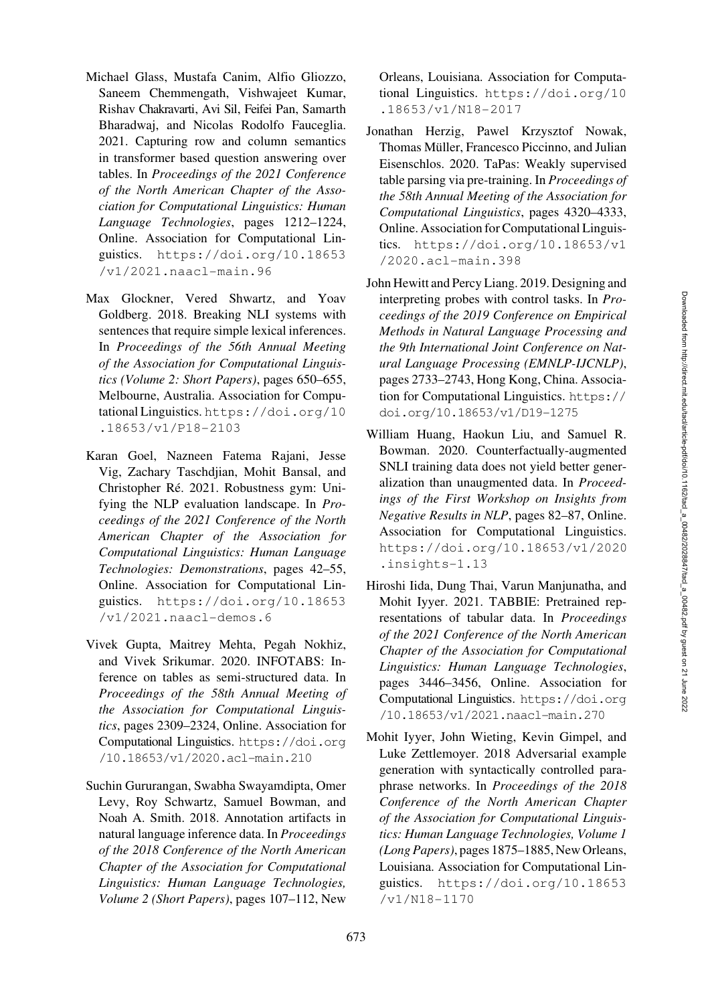- <span id="page-14-6"></span>Michael Glass, Mustafa Canim, Alfio Gliozzo, Saneem Chemmengath, Vishwajeet Kumar, Rishav Chakravarti, Avi Sil, Feifei Pan, Samarth Bharadwaj, and Nicolas Rodolfo Fauceglia. 2021. Capturing row and column semantics in transformer based question answering over tables. In *Proceedings of the 2021 Conference of the North American Chapter of the Association for Computational Linguistics: Human Language Technologies*, pages 1212–1224, Online. Association for Computational Linguistics. [https://doi.org/10.18653](https://doi.org/10.18653/v1/2021.naacl-main.96) [/v1/2021.naacl-main.96](https://doi.org/10.18653/v1/2021.naacl-main.96)
- <span id="page-14-10"></span>Max Glockner, Vered Shwartz, and Yoav Goldberg. 2018. Breaking NLI systems with sentences that require simple lexical inferences. In *Proceedings of the 56th Annual Meeting of the Association for Computational Linguistics (Volume 2: Short Papers)*, pages 650–655, Melbourne, Australia. Association for Computational Linguistics. [https://doi.org/10](https://doi.org/10.18653/v1/P18-2103) [.18653/v1/P18-2103](https://doi.org/10.18653/v1/P18-2103)
- <span id="page-14-2"></span>Karan Goel, Nazneen Fatema Rajani, Jesse Vig, Zachary Taschdjian, Mohit Bansal, and Christopher Ré. 2021. Robustness gym: Unifying the NLP evaluation landscape. In *Proceedings of the 2021 Conference of the North American Chapter of the Association for Computational Linguistics: Human Language Technologies: Demonstrations*, pages 42–55, Online. Association for Computational Linguistics. [https://doi.org/10.18653](https://doi.org/10.18653/v1/2021.naacl-demos.6) [/v1/2021.naacl-demos.6](https://doi.org/10.18653/v1/2021.naacl-demos.6)
- <span id="page-14-0"></span>Vivek Gupta, Maitrey Mehta, Pegah Nokhiz, and Vivek Srikumar. 2020. INFOTABS: Inference on tables as semi-structured data. In *Proceedings of the 58th Annual Meeting of the Association for Computational Linguistics*, pages 2309–2324, Online. Association for Computational Linguistics. [https://doi.org](https://doi.org/10.18653/v1/2020.acl-main.210) [/10.18653/v1/2020.acl-main.210](https://doi.org/10.18653/v1/2020.acl-main.210)
- <span id="page-14-1"></span>Suchin Gururangan, Swabha Swayamdipta, Omer Levy, Roy Schwartz, Samuel Bowman, and Noah A. Smith. 2018. Annotation artifacts in natural language inference data. In *Proceedings of the 2018 Conference of the North American Chapter of the Association for Computational Linguistics: Human Language Technologies, Volume 2 (Short Papers)*, pages 107–112, New

Orleans, Louisiana. Association for Computational Linguistics. [https://doi.org/10](https://doi.org/10.18653/v1/N18-2017) [.18653/v1/N18-2017](https://doi.org/10.18653/v1/N18-2017)

- <span id="page-14-4"></span>Jonathan Herzig, Pawel Krzysztof Nowak, Thomas Müller, Francesco Piccinno, and Julian Eisenschlos. 2020. TaPas: Weakly supervised table parsing via pre-training. In *Proceedings of the 58th Annual Meeting of the Association for Computational Linguistics*, pages 4320–4333, Online. Association for Computational Linguistics. [https://doi.org/10.18653/v1](https://doi.org/10.18653/v1/2020.acl-main.398) [/2020.acl-main.398](https://doi.org/10.18653/v1/2020.acl-main.398)
- <span id="page-14-7"></span>John Hewitt and Percy Liang. 2019. Designing and interpreting probes with control tasks. In *Proceedings of the 2019 Conference on Empirical Methods in Natural Language Processing and the 9th International Joint Conference on Natural Language Processing (EMNLP-IJCNLP)*, pages 2733–2743, Hong Kong, China. Association for Computational Linguistics. [https://](https://doi.org/10.18653/v1/D19-1275) [doi.org/10.18653/v1/D19-1275](https://doi.org/10.18653/v1/D19-1275)
- <span id="page-14-3"></span>William Huang, Haokun Liu, and Samuel R. Bowman. 2020. Counterfactually-augmented SNLI training data does not yield better generalization than unaugmented data. In *Proceedings of the First Workshop on Insights from Negative Results in NLP*, pages 82–87, Online. Association for Computational Linguistics. [https://doi.org/10.18653/v1/2020](https://doi.org/10.18653/v1/2020.insights-1.13) [.insights-1.13](https://doi.org/10.18653/v1/2020.insights-1.13)
- <span id="page-14-5"></span>Hiroshi Iida, Dung Thai, Varun Manjunatha, and Mohit Iyyer. 2021. TABBIE: Pretrained representations of tabular data. In *Proceedings of the 2021 Conference of the North American Chapter of the Association for Computational Linguistics: Human Language Technologies*, pages 3446–3456, Online. Association for Computational Linguistics. [https://doi.org](https://doi.org/10.18653/v1/2021.naacl-main.270) [/10.18653/v1/2021.naacl-main.270](https://doi.org/10.18653/v1/2021.naacl-main.270)
- <span id="page-14-9"></span><span id="page-14-8"></span>Mohit Iyyer, John Wieting, Kevin Gimpel, and Luke Zettlemoyer. 2018 Adversarial example generation with syntactically controlled paraphrase networks. In *Proceedings of the 2018 Conference of the North American Chapter of the Association for Computational Linguistics: Human Language Technologies, Volume 1 (Long Papers)*, pages 1875–1885, New Orleans, Louisiana. Association for Computational Linguistics. [https://doi.org/10.18653](https://doi.org/10.18653/v1/N18-1170) [/v1/N18-1170](https://doi.org/10.18653/v1/N18-1170)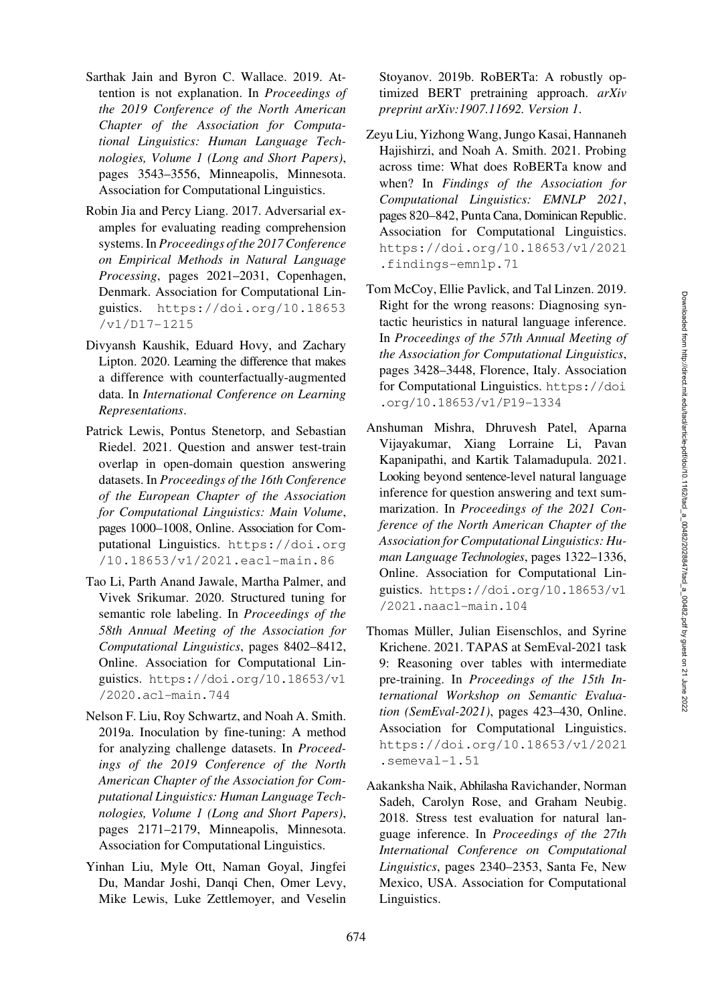- <span id="page-15-10"></span>Sarthak Jain and Byron C. Wallace. 2019. Attention is not explanation. In *Proceedings of the 2019 Conference of the North American Chapter of the Association for Computational Linguistics: Human Language Technologies, Volume 1 (Long and Short Papers)*, pages 3543–3556, Minneapolis, Minnesota. Association for Computational Linguistics.
- <span id="page-15-3"></span>Robin Jia and Percy Liang. 2017. Adversarial examples for evaluating reading comprehension systems. In *Proceedings of the 2017 Conference on Empirical Methods in Natural Language Processing*, pages 2021–2031, Copenhagen, Denmark. Association for Computational Linguistics. [https://doi.org/10.18653](https://doi.org/10.18653/v1/D17-1215) [/v1/D17-1215](https://doi.org/10.18653/v1/D17-1215)
- <span id="page-15-5"></span><span id="page-15-4"></span>Divyansh Kaushik, Eduard Hovy, and Zachary Lipton. 2020. Learning the difference that makes a difference with counterfactually-augmented data. In *International Conference on Learning Representations*.
- <span id="page-15-2"></span>Patrick Lewis, Pontus Stenetorp, and Sebastian Riedel. 2021. Question and answer test-train overlap in open-domain question answering datasets. In *Proceedings of the 16th Conference of the European Chapter of the Association for Computational Linguistics: Main Volume*, pages 1000–1008, Online. Association for Computational Linguistics. [https://doi.org](https://doi.org/10.18653/v1/2021.eacl-main.86) [/10.18653/v1/2021.eacl-main.86](https://doi.org/10.18653/v1/2021.eacl-main.86)
- <span id="page-15-13"></span>Tao Li, Parth Anand Jawale, Martha Palmer, and Vivek Srikumar. 2020. Structured tuning for semantic role labeling. In *Proceedings of the 58th Annual Meeting of the Association for Computational Linguistics*, pages 8402–8412, Online. Association for Computational Linguistics. [https://doi.org/10.18653/v1](https://doi.org/10.18653/v1/2020.acl-main.744) [/2020.acl-main.744](https://doi.org/10.18653/v1/2020.acl-main.744)
- <span id="page-15-1"></span>Nelson F. Liu, Roy Schwartz, and Noah A. Smith. 2019a. Inoculation by fine-tuning: A method for analyzing challenge datasets. In *Proceedings of the 2019 Conference of the North American Chapter of the Association for Computational Linguistics: Human Language Technologies, Volume 1 (Long and Short Papers)*, pages 2171–2179, Minneapolis, Minnesota. Association for Computational Linguistics.
- <span id="page-15-0"></span>Yinhan Liu, Myle Ott, Naman Goyal, Jingfei Du, Mandar Joshi, Danqi Chen, Omer Levy, Mike Lewis, Luke Zettlemoyer, and Veselin

Stoyanov. 2019b. RoBERTa: A robustly optimized BERT pretraining approach. *arXiv preprint arXiv:1907.11692. Version 1*.

- <span id="page-15-6"></span>Zeyu Liu, Yizhong Wang, Jungo Kasai, Hannaneh Hajishirzi, and Noah A. Smith. 2021. Probing across time: What does RoBERTa know and when? In *Findings of the Association for Computational Linguistics: EMNLP 2021*, pages 820–842, Punta Cana, Dominican Republic. Association for Computational Linguistics. [https://doi.org/10.18653/v1/2021](https://doi.org/10.18653/v1/2021.findings-emnlp.71) [.findings-emnlp.71](https://doi.org/10.18653/v1/2021.findings-emnlp.71)
- <span id="page-15-12"></span>Tom McCoy, Ellie Pavlick, and Tal Linzen. 2019. Right for the wrong reasons: Diagnosing syntactic heuristics in natural language inference. In *Proceedings of the 57th Annual Meeting of the Association for Computational Linguistics*, pages 3428–3448, Florence, Italy. Association for Computational Linguistics. [https://doi](https://doi.org/10.18653/v1/P19-1334) [.org/10.18653/v1/P19-1334](https://doi.org/10.18653/v1/P19-1334)
- <span id="page-15-7"></span>Anshuman Mishra, Dhruvesh Patel, Aparna Vijayakumar, Xiang Lorraine Li, Pavan Kapanipathi, and Kartik Talamadupula. 2021. Looking beyond sentence-level natural language inference for question answering and text summarization. In *Proceedings of the 2021 Conference of the North American Chapter of the Association for Computational Linguistics: Human Language Technologies*, pages 1322–1336, Online. Association for Computational Linguistics. [https://doi.org/10.18653/v1](https://doi.org/10.18653/v1/2021.naacl-main.104) [/2021.naacl-main.104](https://doi.org/10.18653/v1/2021.naacl-main.104)
- <span id="page-15-9"></span><span id="page-15-8"></span>Thomas Müller, Julian Eisenschlos, and Syrine Krichene. 2021. TAPAS at SemEval-2021 task 9: Reasoning over tables with intermediate pre-training. In *Proceedings of the 15th International Workshop on Semantic Evaluation (SemEval-2021)*, pages 423–430, Online. Association for Computational Linguistics. [https://doi.org/10.18653/v1/2021](https://doi.org/10.18653/v1/2021.semeval-1.51) [.semeval-1.51](https://doi.org/10.18653/v1/2021.semeval-1.51)
- <span id="page-15-11"></span>Aakanksha Naik, Abhilasha Ravichander, Norman Sadeh, Carolyn Rose, and Graham Neubig. 2018. Stress test evaluation for natural language inference. In *Proceedings of the 27th International Conference on Computational Linguistics*, pages 2340–2353, Santa Fe, New Mexico, USA. Association for Computational Linguistics.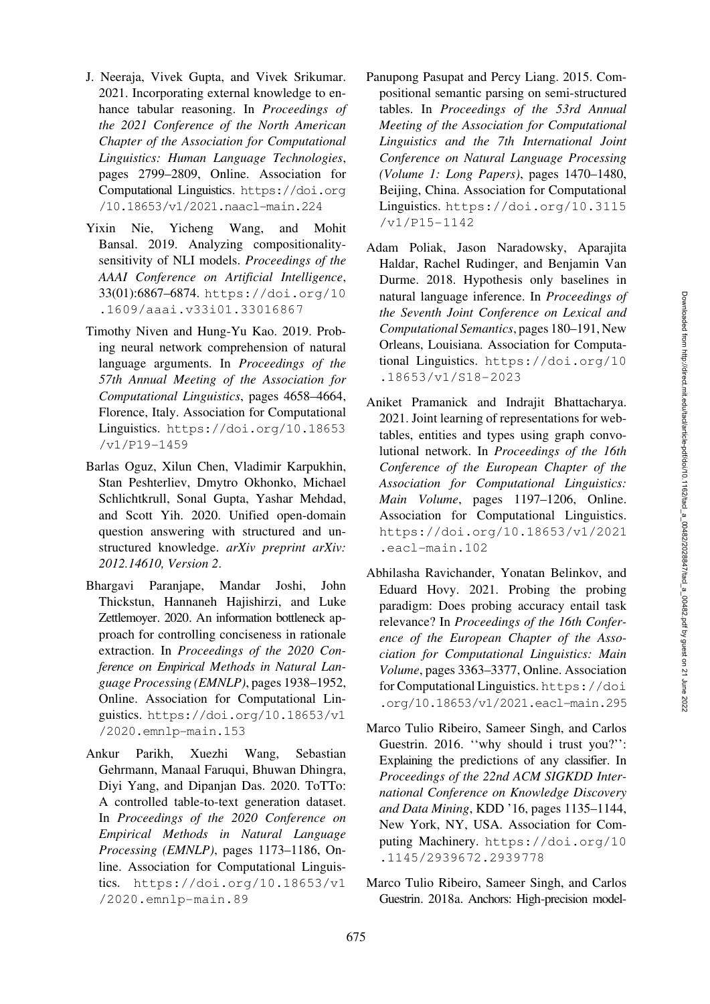- <span id="page-16-3"></span>J. Neeraja, Vivek Gupta, and Vivek Srikumar. 2021. Incorporating external knowledge to enhance tabular reasoning. In *Proceedings of the 2021 Conference of the North American Chapter of the Association for Computational Linguistics: Human Language Technologies*, pages 2799–2809, Online. Association for Computational Linguistics. [https://doi.org](https://doi.org/10.18653/v1/2021.naacl-main.224) [/10.18653/v1/2021.naacl-main.224](https://doi.org/10.18653/v1/2021.naacl-main.224)
- <span id="page-16-14"></span>Yixin Nie, Yicheng Wang, and Mohit Bansal. 2019. Analyzing compositionalitysensitivity of NLI models. *Proceedings of the AAAI Conference on Artificial Intelligence*, 33(01):6867–6874. [https://doi.org/10](https://doi.org/10.1609/aaai.v33i01.33016867) [.1609/aaai.v33i01.33016867](https://doi.org/10.1609/aaai.v33i01.33016867)
- <span id="page-16-2"></span><span id="page-16-1"></span>Timothy Niven and Hung-Yu Kao. 2019. Probing neural network comprehension of natural language arguments. In *Proceedings of the 57th Annual Meeting of the Association for Computational Linguistics*, pages 4658–4664, Florence, Italy. Association for Computational Linguistics. [https://doi.org/10.18653](https://doi.org/10.18653/v1/P19-1459) [/v1/P19-1459](https://doi.org/10.18653/v1/P19-1459)
- <span id="page-16-5"></span>Barlas Oguz, Xilun Chen, Vladimir Karpukhin, Stan Peshterliev, Dmytro Okhonko, Michael Schlichtkrull, Sonal Gupta, Yashar Mehdad, and Scott Yih. 2020. Unified open-domain question answering with structured and unstructured knowledge. *arXiv preprint arXiv: 2012.14610, Version 2*.
- <span id="page-16-9"></span><span id="page-16-8"></span>Bhargavi Paranjape, Mandar Joshi, John Thickstun, Hannaneh Hajishirzi, and Luke Zettlemoyer. 2020. An information bottleneck approach for controlling conciseness in rationale extraction. In *Proceedings of the 2020 Conference on Empirical Methods in Natural Language Processing (EMNLP)*, pages 1938–1952, Online. Association for Computational Linguistics. [https://doi.org/10.18653/v1](https://doi.org/10.18653/v1/2020.emnlp-main.153) [/2020.emnlp-main.153](https://doi.org/10.18653/v1/2020.emnlp-main.153)
- <span id="page-16-6"></span>Ankur Parikh, Xuezhi Wang, Sebastian Gehrmann, Manaal Faruqui, Bhuwan Dhingra, Diyi Yang, and Dipanjan Das. 2020. ToTTo: A controlled table-to-text generation dataset. In *Proceedings of the 2020 Conference on Empirical Methods in Natural Language Processing (EMNLP)*, pages 1173–1186, Online. Association for Computational Linguistics. [https://doi.org/10.18653/v1](https://doi.org/10.18653/v1/2020.emnlp-main.89) [/2020.emnlp-main.89](https://doi.org/10.18653/v1/2020.emnlp-main.89)
- <span id="page-16-4"></span>Panupong Pasupat and Percy Liang. 2015. Compositional semantic parsing on semi-structured tables. In *Proceedings of the 53rd Annual Meeting of the Association for Computational Linguistics and the 7th International Joint Conference on Natural Language Processing (Volume 1: Long Papers)*, pages 1470–1480, Beijing, China. Association for Computational Linguistics. [https://doi.org/10.3115](https://doi.org/10.3115/v1/P15-1142) [/v1/P15-1142](https://doi.org/10.3115/v1/P15-1142)
- <span id="page-16-0"></span>Adam Poliak, Jason Naradowsky, Aparajita Haldar, Rachel Rudinger, and Benjamin Van Durme. 2018. Hypothesis only baselines in natural language inference. In *Proceedings of the Seventh Joint Conference on Lexical and Computational Semantics*, pages 180–191, New Orleans, Louisiana. Association for Computational Linguistics. [https://doi.org/10](https://doi.org/10.18653/v1/S18-2023) [.18653/v1/S18-2023](https://doi.org/10.18653/v1/S18-2023)
- <span id="page-16-7"></span>Aniket Pramanick and Indrajit Bhattacharya. 2021. Joint learning of representations for webtables, entities and types using graph convolutional network. In *Proceedings of the 16th Conference of the European Chapter of the Association for Computational Linguistics: Main Volume*, pages 1197–1206, Online. Association for Computational Linguistics. [https://doi.org/10.18653/v1/2021](https://doi.org/10.18653/v1/2021.eacl-main.102) [.eacl-main.102](https://doi.org/10.18653/v1/2021.eacl-main.102)
- <span id="page-16-10"></span>Abhilasha Ravichander, Yonatan Belinkov, and Eduard Hovy. 2021. Probing the probing paradigm: Does probing accuracy entail task relevance? In *Proceedings of the 16th Conference of the European Chapter of the Association for Computational Linguistics: Main Volume*, pages 3363–3377, Online. Association for Computational Linguistics. [https://doi](https://doi.org/10.18653/v1/2021.eacl-main.295) [.org/10.18653/v1/2021.eacl-main.295](https://doi.org/10.18653/v1/2021.eacl-main.295)
- <span id="page-16-12"></span><span id="page-16-11"></span>Marco Tulio Ribeiro, Sameer Singh, and Carlos Guestrin. 2016. "why should i trust you?": Explaining the predictions of any classifier. In *Proceedings of the 22nd ACM SIGKDD International Conference on Knowledge Discovery and Data Mining*, KDD '16, pages 1135–1144, New York, NY, USA. Association for Computing Machinery. [https://doi.org/10](https://doi.org/10.1145/2939672.2939778) [.1145/2939672.2939778](https://doi.org/10.1145/2939672.2939778)
- <span id="page-16-13"></span>Marco Tulio Ribeiro, Sameer Singh, and Carlos Guestrin. 2018a. Anchors: High-precision model-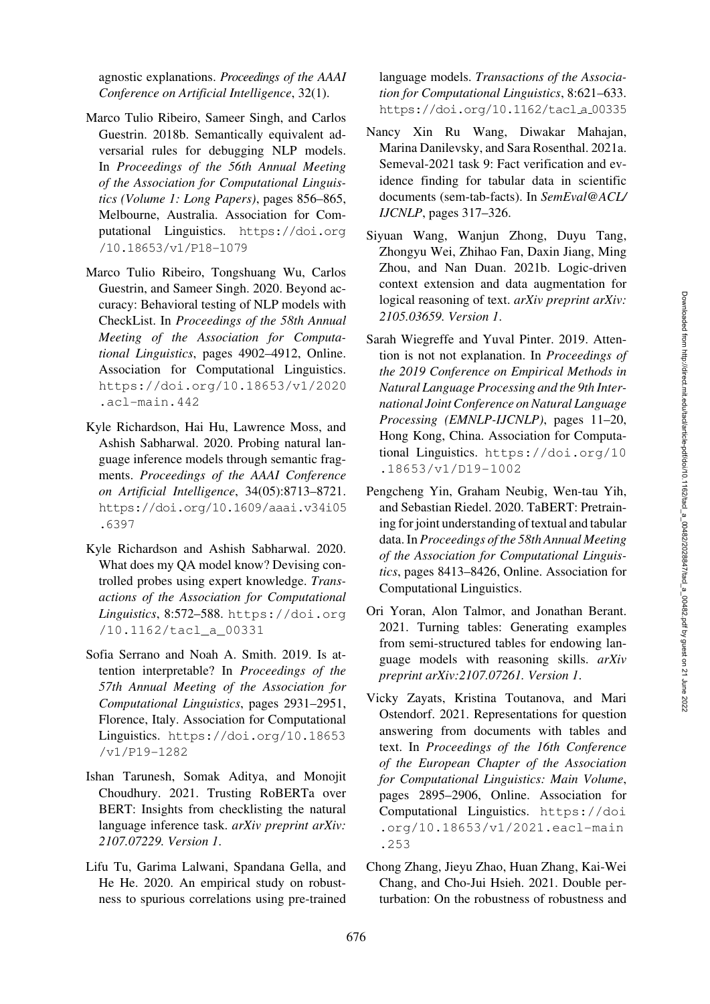agnostic explanations. *Proceedings of the AAAI Conference on Artificial Intelligence*, 32(1).

- Marco Tulio Ribeiro, Sameer Singh, and Carlos Guestrin. 2018b. Semantically equivalent adversarial rules for debugging NLP models. In *Proceedings of the 56th Annual Meeting of the Association for Computational Linguistics (Volume 1: Long Papers)*, pages 856–865, Melbourne, Australia. Association for Computational Linguistics. [https://doi.org](https://doi.org/10.18653/v1/P18-1079) [/10.18653/v1/P18-1079](https://doi.org/10.18653/v1/P18-1079)
- <span id="page-17-2"></span>Marco Tulio Ribeiro, Tongshuang Wu, Carlos Guestrin, and Sameer Singh. 2020. Beyond accuracy: Behavioral testing of NLP models with CheckList. In *Proceedings of the 58th Annual Meeting of the Association for Computational Linguistics*, pages 4902–4912, Online. Association for Computational Linguistics. [https://doi.org/10.18653/v1/2020](https://doi.org/10.18653/v1/2020.acl-main.442) [.acl-main.442](https://doi.org/10.18653/v1/2020.acl-main.442)
- <span id="page-17-3"></span>Kyle Richardson, Hai Hu, Lawrence Moss, and Ashish Sabharwal. 2020. Probing natural language inference models through semantic fragments. *Proceedings of the AAAI Conference on Artificial Intelligence*, 34(05):8713–8721. [https://doi.org/10.1609/aaai.v34i05](https://doi.org/10.1609/aaai.v34i05.6397) [.6397](https://doi.org/10.1609/aaai.v34i05.6397)
- <span id="page-17-18"></span><span id="page-17-17"></span>Kyle Richardson and Ashish Sabharwal. 2020. What does my QA model know? Devising controlled probes using expert knowledge. *Transactions of the Association for Computational Linguistics*, 8:572–588. [https://doi.org](https://doi.org/10.1162/tacl_a_00331) [/10.1162/tacl\\_a\\_00331](https://doi.org/10.1162/tacl_a_00331)
- <span id="page-17-14"></span><span id="page-17-13"></span>Sofia Serrano and Noah A. Smith. 2019. Is attention interpretable? In *Proceedings of the 57th Annual Meeting of the Association for Computational Linguistics*, pages 2931–2951, Florence, Italy. Association for Computational Linguistics. [https://doi.org/10.18653](https://doi.org/10.18653/v1/P19-1282) [/v1/P19-1282](https://doi.org/10.18653/v1/P19-1282)
- <span id="page-17-5"></span><span id="page-17-4"></span>Ishan Tarunesh, Somak Aditya, and Monojit Choudhury. 2021. Trusting RoBERTa over BERT: Insights from checklisting the natural language inference task. *arXiv preprint arXiv: 2107.07229. Version 1*.
- <span id="page-17-6"></span>Lifu Tu, Garima Lalwani, Spandana Gella, and He He. 2020. An empirical study on robustness to spurious correlations using pre-trained

language models. *Transactions of the Association for Computational Linguistics*, 8:621–633. [https://doi.org/10.1162/tacl](https://doi.org/10.1162/tacl_a_00335) a 00335

- <span id="page-17-19"></span><span id="page-17-1"></span>Nancy Xin Ru Wang, Diwakar Mahajan, Marina Danilevsky, and Sara Rosenthal. 2021a. Semeval-2021 task 9: Fact verification and evidence finding for tabular data in scientific documents (sem-tab-facts). In *SemEval@ACL/ IJCNLP*, pages 317–326.
- <span id="page-17-9"></span>Siyuan Wang, Wanjun Zhong, Duyu Tang, Zhongyu Wei, Zhihao Fan, Daxin Jiang, Ming Zhou, and Nan Duan. 2021b. Logic-driven context extension and data augmentation for logical reasoning of text. *arXiv preprint arXiv: 2105.03659. Version 1*.
- <span id="page-17-16"></span><span id="page-17-15"></span>Sarah Wiegreffe and Yuval Pinter. 2019. Attention is not not explanation. In *Proceedings of the 2019 Conference on Empirical Methods in Natural Language Processing and the 9th International Joint Conference on Natural Language Processing (EMNLP-IJCNLP)*, pages 11–20, Hong Kong, China. Association for Computational Linguistics. [https://doi.org/10](https://doi.org/10.18653/v1/D19-1002) [.18653/v1/D19-1002](https://doi.org/10.18653/v1/D19-1002)
- <span id="page-17-0"></span>Pengcheng Yin, Graham Neubig, Wen-tau Yih, and Sebastian Riedel. 2020. TaBERT: Pretraining for joint understanding of textual and tabular data. In *Proceedings of the 58th Annual Meeting of the Association for Computational Linguistics*, pages 8413–8426, Online. Association for Computational Linguistics.
- <span id="page-17-12"></span>Ori Yoran, Alon Talmor, and Jonathan Berant. 2021. Turning tables: Generating examples from semi-structured tables for endowing language models with reasoning skills. *arXiv preprint arXiv:2107.07261. Version 1*.
- <span id="page-17-11"></span><span id="page-17-10"></span>Vicky Zayats, Kristina Toutanova, and Mari Ostendorf. 2021. Representations for question answering from documents with tables and text. In *Proceedings of the 16th Conference of the European Chapter of the Association for Computational Linguistics: Main Volume*, pages 2895–2906, Online. Association for Computational Linguistics. [https://doi](https://doi.org/10.18653/v1/2021.eacl-main.253) [.org/10.18653/v1/2021.eacl-main](https://doi.org/10.18653/v1/2021.eacl-main.253) [.253](https://doi.org/10.18653/v1/2021.eacl-main.253)
- <span id="page-17-8"></span><span id="page-17-7"></span>Chong Zhang, Jieyu Zhao, Huan Zhang, Kai-Wei Chang, and Cho-Jui Hsieh. 2021. Double perturbation: On the robustness of robustness and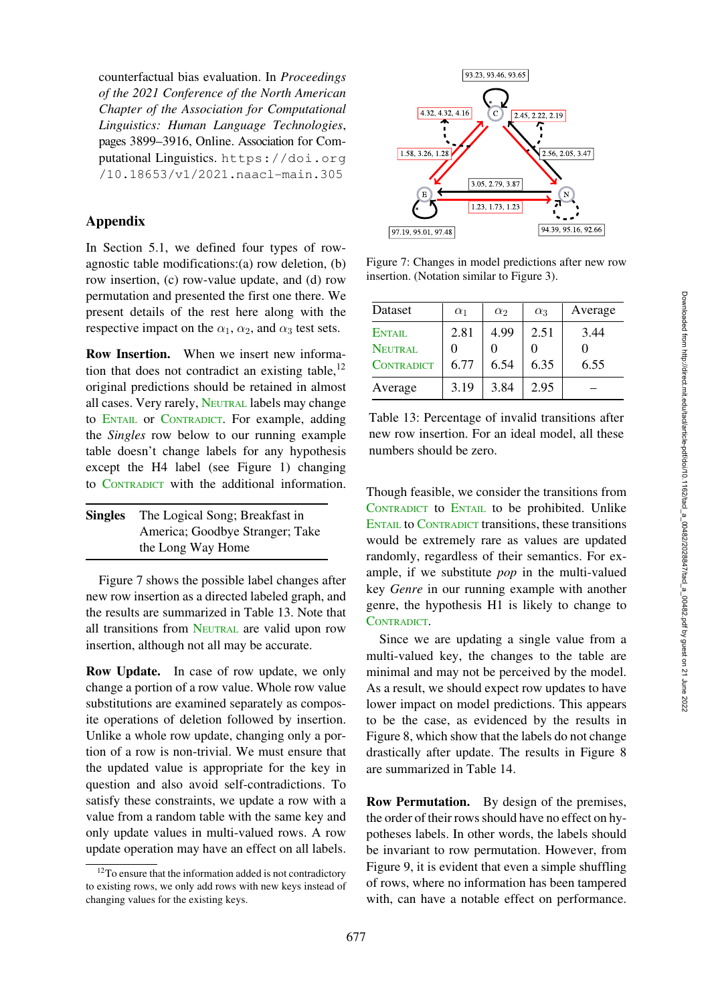counterfactual bias evaluation. In *Proceedings of the 2021 Conference of the North American Chapter of the Association for Computational Linguistics: Human Language Technologies*, pages 3899–3916, Online. Association for Computational Linguistics. [https://doi.org](https://doi.org/10.18653/v1/2021.naacl-main.305) [/10.18653/v1/2021.naacl-main.305](https://doi.org/10.18653/v1/2021.naacl-main.305)

# <span id="page-18-0"></span>Appendix

In Section [5.1,](#page-5-3) we defined four types of rowagnostic table modifications:(a) row deletion, (b) row insertion, (c) row-value update, and (d) row permutation and presented the first one there. We present details of the rest here along with the respective impact on the  $\alpha_1$ ,  $\alpha_2$ , and  $\alpha_3$  test sets.

Row Insertion. When we insert new information that does not contradict an existing table, $^{12}$ original predictions should be retained in almost all cases. Very rarely, NEUTRAL labels may change to ENTAIL or CONTRADICT. For example, adding the *Singles* row below to our running example table doesn't change labels for any hypothesis except the H4 label (see Figure [1\)](#page-1-2) changing to CONTRADICT with the additional information.

| <b>Singles</b> | The Logical Song; Breakfast in  |
|----------------|---------------------------------|
|                | America; Goodbye Stranger; Take |
|                | the Long Way Home               |

Figure [7](#page-18-2) shows the possible label changes after new row insertion as a directed labeled graph, and the results are summarized in Table [13.](#page-18-3) Note that all transitions from NEUTRAL are valid upon row insertion, although not all may be accurate.

Row Update. In case of row update, we only change a portion of a row value. Whole row value substitutions are examined separately as composite operations of deletion followed by insertion. Unlike a whole row update, changing only a portion of a row is non-trivial. We must ensure that the updated value is appropriate for the key in question and also avoid self-contradictions. To satisfy these constraints, we update a row with a value from a random table with the same key and only update values in multi-valued rows. A row update operation may have an effect on all labels.



<span id="page-18-2"></span>Figure 7: Changes in model predictions after new row insertion. (Notation similar to Figure [3\)](#page-6-0).

| Dataset           | $\alpha_1$ | $\alpha_2$ | $\alpha_3$ | Average |
|-------------------|------------|------------|------------|---------|
| ENTAIL            | 2.81       | 4.99       | 2.51       | 3.44    |
| <b>NEUTRAL</b>    |            |            |            |         |
| <b>CONTRADICT</b> | 6.77       | 6.54       | 6.35       | 6.55    |
| Average           | 3.19       | 3.84       | 2.95       |         |

<span id="page-18-3"></span>Table 13: Percentage of invalid transitions after new row insertion. For an ideal model, all these numbers should be zero.

Though feasible, we consider the transitions from CONTRADICT to ENTAIL to be prohibited. Unlike ENTAIL to CONTRADICT transitions, these transitions would be extremely rare as values are updated randomly, regardless of their semantics. For example, if we substitute *pop* in the multi-valued key *Genre* in our running example with another genre, the hypothesis H1 is likely to change to CONTRADICT.

Since we are updating a single value from a multi-valued key, the changes to the table are minimal and may not be perceived by the model. As a result, we should expect row updates to have lower impact on model predictions. This appears to be the case, as evidenced by the results in Figure [8,](#page-19-0) which show that the labels do not change drastically after update. The results in Figure [8](#page-19-0) are summarized in Table [14.](#page-19-1)

Row Permutation. By design of the premises, the order of their rows should have no effect on hypotheses labels. In other words, the labels should be invariant to row permutation. However, from Figure [9,](#page-19-2) it is evident that even a simple shuffling of rows, where no information has been tampered with, can have a notable effect on performance.

<span id="page-18-1"></span><sup>&</sup>lt;sup>12</sup>To ensure that the information added is not contradictory to existing rows, we only add rows with new keys instead of changing values for the existing keys.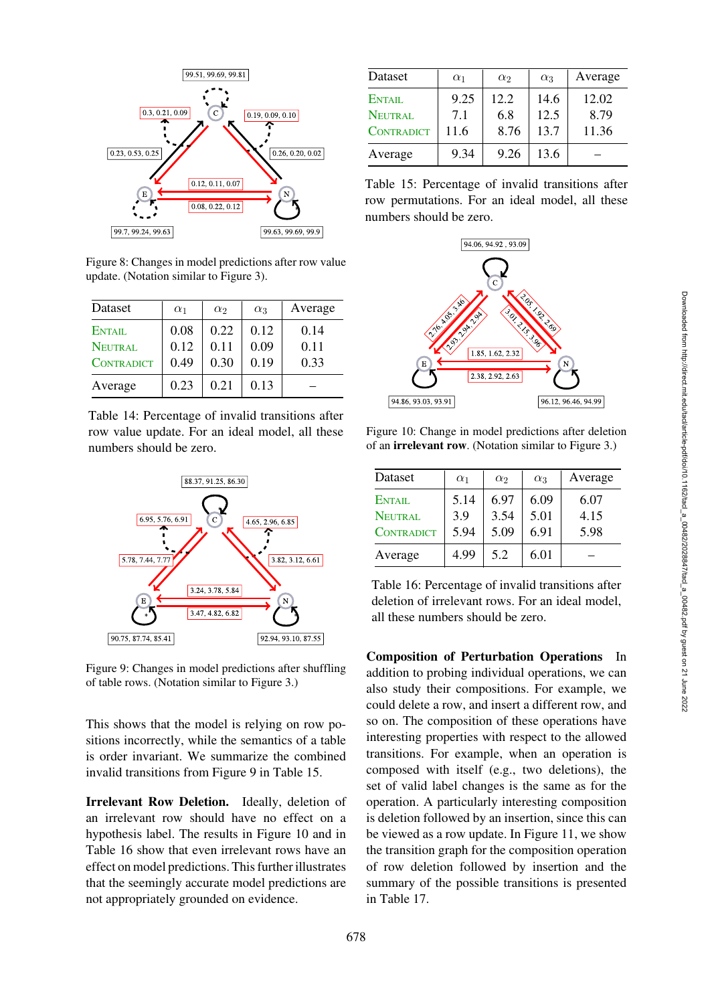

<span id="page-19-0"></span>Figure 8: Changes in model predictions after row value update. (Notation similar to Figure [3\)](#page-6-0).

| Dataset           | $\alpha_1$ | $\alpha_2$ | $\alpha_3$ | Average |
|-------------------|------------|------------|------------|---------|
| ENTAIL            | 0.08       | 0.22       | 0.12       | 0.14    |
| NEUTRAL           | 0.12       | 0.11       | 0.09       | 0.11    |
| <b>CONTRADICT</b> | 0.49       | 0.30       | 0.19       | 0.33    |
| Average           | 0.23       | 0.21       | 0.13       |         |

<span id="page-19-1"></span>Table 14: Percentage of invalid transitions after row value update. For an ideal model, all these numbers should be zero.



<span id="page-19-2"></span>Figure 9: Changes in model predictions after shuffling of table rows. (Notation similar to Figure [3.](#page-6-0))

This shows that the model is relying on row positions incorrectly, while the semantics of a table is order invariant. We summarize the combined invalid transitions from Figure [9](#page-19-2) in Table [15.](#page-19-3)

Irrelevant Row Deletion. Ideally, deletion of an irrelevant row should have no effect on a hypothesis label. The results in Figure [10](#page-19-4) and in Table [16](#page-19-5) show that even irrelevant rows have an effect on model predictions. This further illustrates that the seemingly accurate model predictions are not appropriately grounded on evidence.

| Dataset           | $\alpha_1$ | $\alpha_2$ | $\alpha_3$ | Average |
|-------------------|------------|------------|------------|---------|
| <b>ENTAIL</b>     | 9.25       | 12.2       | 14.6       | 12.02   |
| <b>NEUTRAL</b>    | 7.1        | 6.8        | 12.5       | 8.79    |
| <b>CONTRADICT</b> | 11.6       | 8.76       | 13.7       | 11.36   |
| Average           | 9.34       | 9.26       | 13.6       |         |

<span id="page-19-3"></span>Table 15: Percentage of invalid transitions after row permutations. For an ideal model, all these numbers should be zero.



Figure 10: Change in model predictions after deletion of an irrelevant row. (Notation similar to Figure [3.](#page-6-0))

<span id="page-19-4"></span>

| Dataset           | $\alpha_1$ | $\alpha_2$ | $\alpha_3$ | Average |
|-------------------|------------|------------|------------|---------|
| ENTAIL            | 5.14       | 6.97       | 6.09       | 6.07    |
| <b>NEUTRAL</b>    | 3.9        | 3.54       | 5.01       | 4.15    |
| <b>CONTRADICT</b> | 5.94       | 5.09       | 6.91       | 5.98    |
| Average           | 4.99       | 5.2        | 6.01       |         |

<span id="page-19-5"></span>Table 16: Percentage of invalid transitions after deletion of irrelevant rows. For an ideal model, all these numbers should be zero.

Composition of Perturbation Operations In addition to probing individual operations, we can also study their compositions. For example, we could delete a row, and insert a different row, and so on. The composition of these operations have interesting properties with respect to the allowed transitions. For example, when an operation is composed with itself (e.g., two deletions), the set of valid label changes is the same as for the operation. A particularly interesting composition is deletion followed by an insertion, since this can be viewed as a row update. In Figure [11,](#page-20-0) we show the transition graph for the composition operation of row deletion followed by insertion and the summary of the possible transitions is presented in Table [17.](#page-20-1)